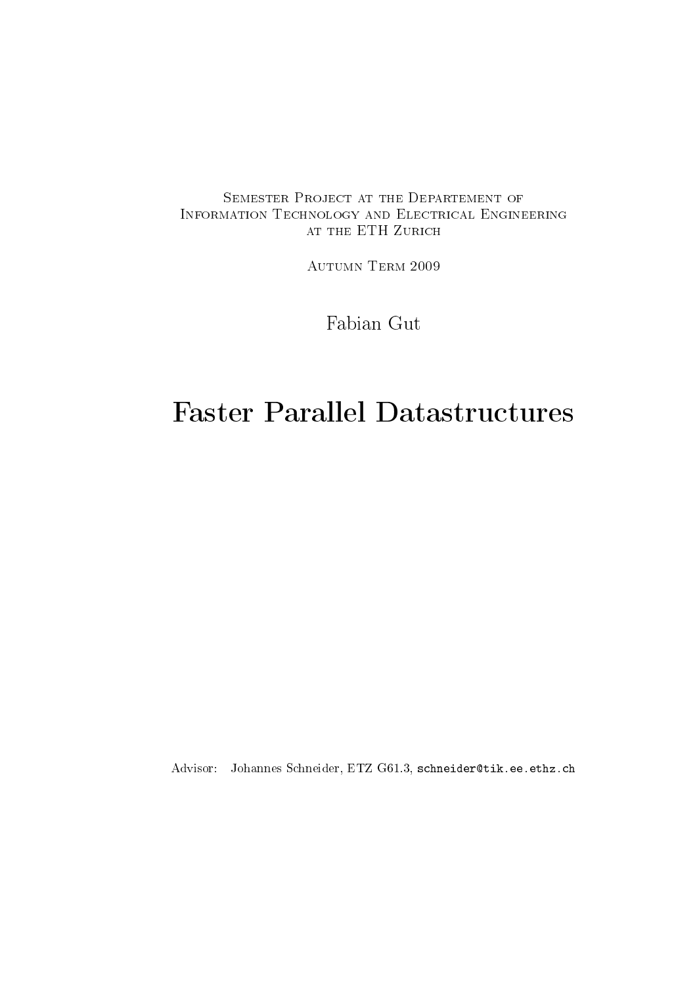### SEMESTER PROJECT AT THE DEPARTEMENT OF Information Technology and Electrical Engineering at the ETH Zurich

Autumn Term 2009

Fabian Gut

# Faster Parallel Datastructures

Advisor: Johannes Schneider, ETZ G61.3, schneider@tik.ee.ethz.ch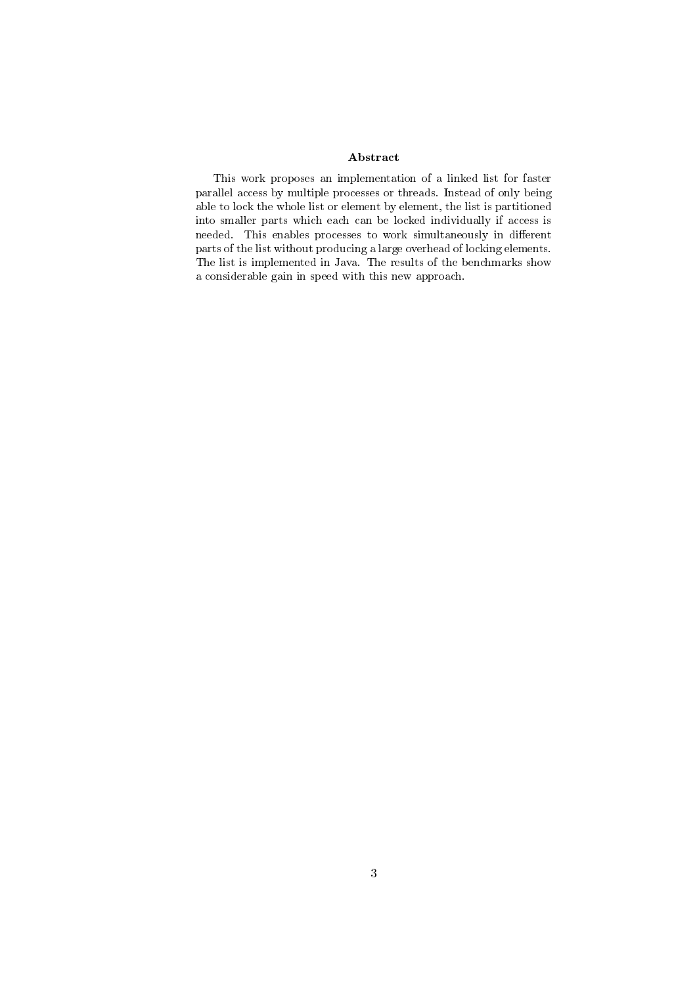#### Abstract

This work proposes an implementation of a linked list for faster parallel access by multiple processes or threads. Instead of only being able to lock the whole list or element by element, the list is partitioned into smaller parts which each can be locked individually if access is needed. This enables processes to work simultaneously in different parts of the list without producing a large overhead of locking elements. The list is implemented in Java. The results of the benchmarks show a considerable gain in speed with this new approach.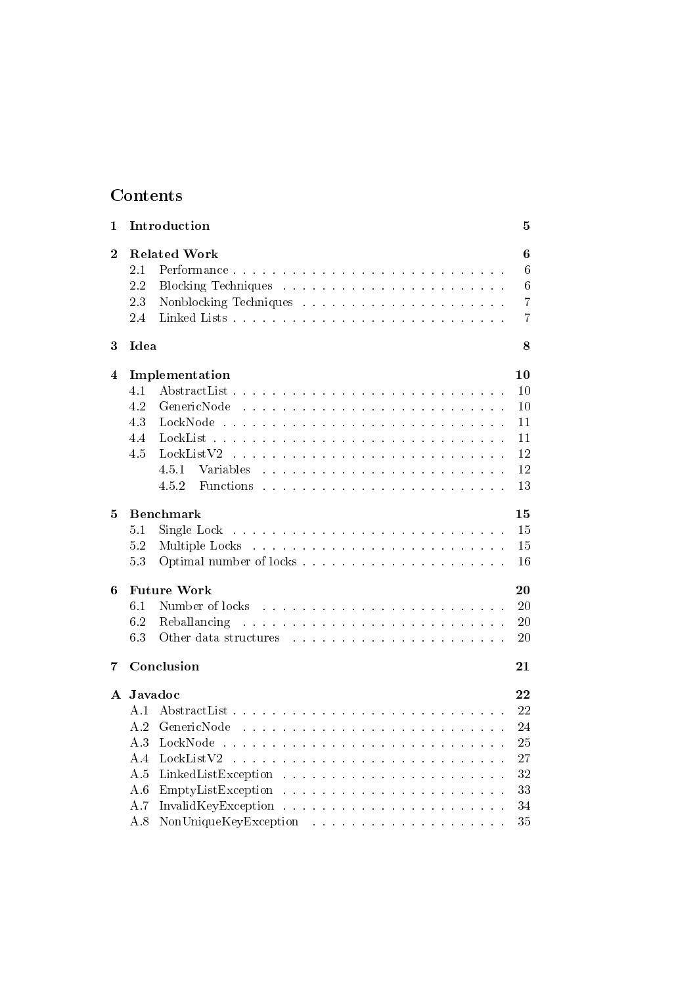## Contents

| $\mathbf{1}$ |         | Introduction                                                                                                                                                                                                                                            | 5              |
|--------------|---------|---------------------------------------------------------------------------------------------------------------------------------------------------------------------------------------------------------------------------------------------------------|----------------|
| $\bf{2}$     |         | <b>Related Work</b>                                                                                                                                                                                                                                     | 6              |
|              | 2.1     | Performance                                                                                                                                                                                                                                             | 6              |
|              | 2.2     |                                                                                                                                                                                                                                                         | 6              |
|              | 23      |                                                                                                                                                                                                                                                         | $\overline{7}$ |
|              | 2.4     |                                                                                                                                                                                                                                                         | $\overline{7}$ |
| 3            | Idea    |                                                                                                                                                                                                                                                         | 8              |
| 4            |         | Implementation                                                                                                                                                                                                                                          | 10             |
|              | 4.1     |                                                                                                                                                                                                                                                         | 10             |
|              | 4.2     | GenericNode                                                                                                                                                                                                                                             | 10             |
|              | 4.3     |                                                                                                                                                                                                                                                         | 11             |
|              | 4.4     | LockList                                                                                                                                                                                                                                                | 11             |
|              | 4.5     | LockListV2                                                                                                                                                                                                                                              | 12             |
|              |         | 4.5.1<br>Variables                                                                                                                                                                                                                                      | 12             |
|              |         | 452<br>Functions                                                                                                                                                                                                                                        | 13             |
| 5            |         | <b>Benchmark</b>                                                                                                                                                                                                                                        | 15             |
|              | 5.1     | .<br>In the company of the company of the company of the company of the company of the company of the company of th<br>Single Lock                                                                                                                      | 15             |
|              | 5.2     |                                                                                                                                                                                                                                                         | 15             |
|              | 53      |                                                                                                                                                                                                                                                         | 16             |
| 6            |         | <b>Future Work</b>                                                                                                                                                                                                                                      | 20             |
|              | 6.1     | Number of locks                                                                                                                                                                                                                                         | 20             |
|              | 6.2     | Reballancing                                                                                                                                                                                                                                            | 20             |
|              | 63      | Other data structures entering the series of the state of the state of the state of the state of the state of the state of the state of the state of the state of the state of the state of the state of the state of the stat                          | 20             |
| 7            |         | Conclusion                                                                                                                                                                                                                                              | 21             |
| ${\bf A}$    | Javadoc |                                                                                                                                                                                                                                                         | 22             |
|              | A 1     |                                                                                                                                                                                                                                                         | 22             |
|              | A 2     | GenericNode                                                                                                                                                                                                                                             | 24             |
|              | A 3     | LockNode                                                                                                                                                                                                                                                | 25             |
|              | A 4     | LockListV2                                                                                                                                                                                                                                              | 27             |
|              | A.5     |                                                                                                                                                                                                                                                         | 32             |
|              | A 6     |                                                                                                                                                                                                                                                         | 33             |
|              | A.7     |                                                                                                                                                                                                                                                         | 34             |
|              | A.8     | NonUniqueKeyException<br>the contract of the contract of the contract of the contract of the contract of the contract of the contract of the contract of the contract of the contract of the contract of the contract of the contract of the contract o | 35             |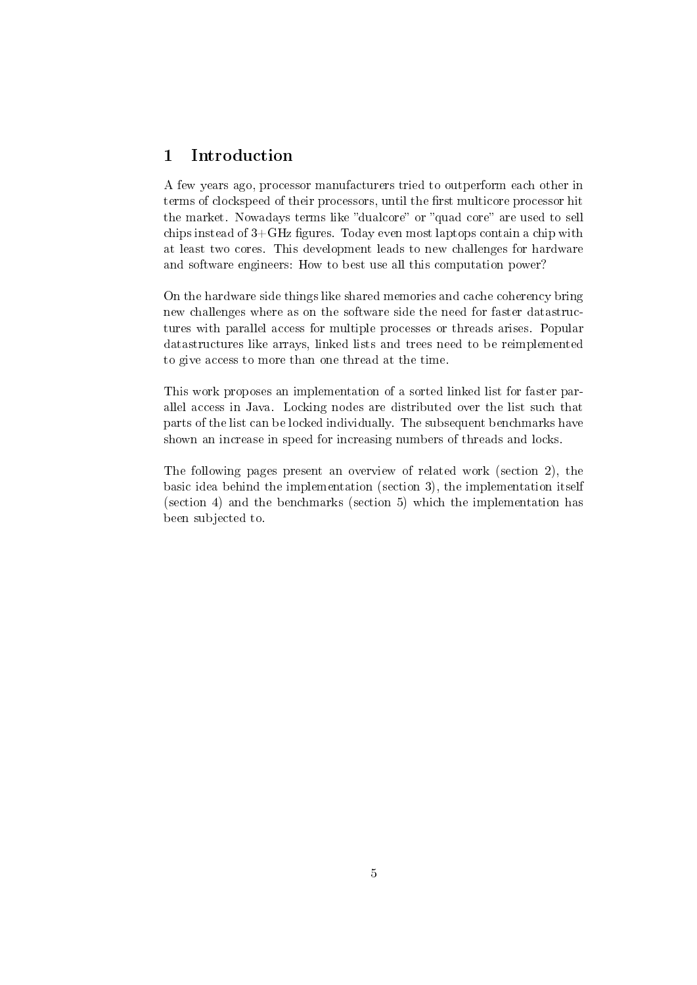### 1 Introduction

A few years ago, processor manufacturers tried to outperform each other in terms of clockspeed of their processors, until the first multicore processor hit the market. Nowadays terms like "dualcore" or "quad core" are used to sell chips instead of  $3+GHz$  figures. Today even most laptops contain a chip with at least two cores. This development leads to new challenges for hardware and software engineers: How to best use all this computation power?

On the hardware side things like shared memories and cache coherency bring new challenges where as on the software side the need for faster datastructures with parallel access for multiple processes or threads arises. Popular datastructures like arrays, linked lists and trees need to be reimplemented to give access to more than one thread at the time.

This work proposes an implementation of a sorted linked list for faster parallel access in Java. Locking nodes are distributed over the list such that parts of the list can be locked individually. The subsequent benchmarks have shown an increase in speed for increasing numbers of threads and locks.

The following pages present an overview of related work (section 2), the basic idea behind the implementation (section 3), the implementation itself (section 4) and the benchmarks (section 5) which the implementation has been subjected to.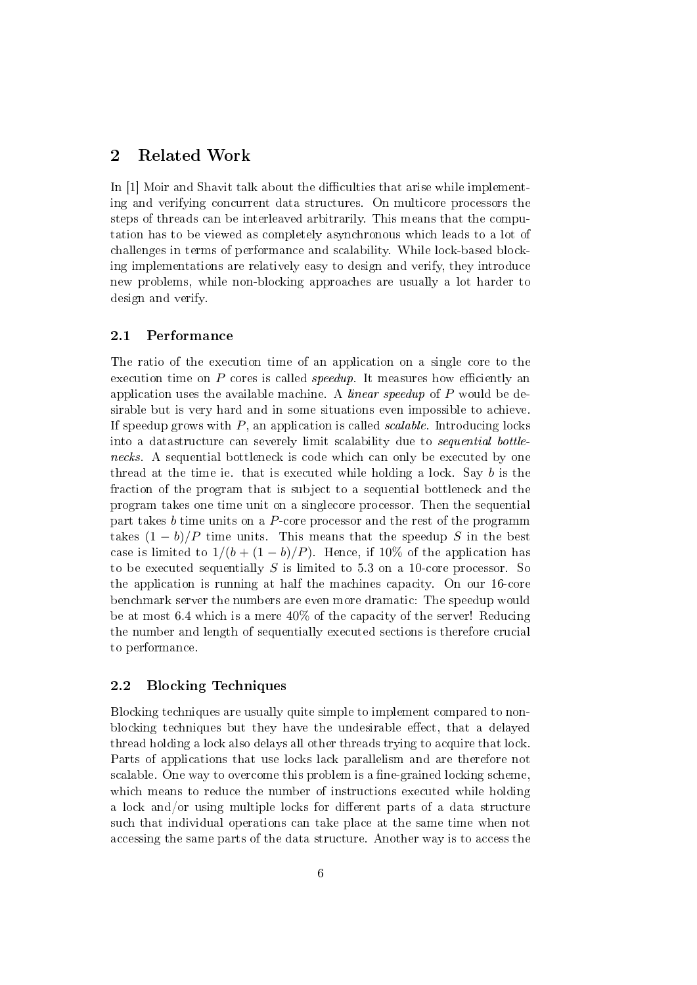#### 2 Related Work

In [1] Moir and Shavit talk about the difficulties that arise while implementing and verifying concurrent data structures. On multicore processors the steps of threads can be interleaved arbitrarily. This means that the computation has to be viewed as completely asynchronous which leads to a lot of challenges in terms of performance and scalability. While lock-based blocking implementations are relatively easy to design and verify, they introduce new problems, while non-blocking approaches are usually a lot harder to design and verify.

#### 2.1 Performance

The ratio of the execution time of an application on a single core to the execution time on  $P$  cores is called *speedup*. It measures how efficiently an application uses the available machine. A *linear speedup* of P would be desirable but is very hard and in some situations even impossible to achieve. If speedup grows with  $P$ , an application is called *scalable*. Introducing locks into a datastructure can severely limit scalability due to sequential bottlenecks. A sequential bottleneck is code which can only be executed by one thread at the time ie. that is executed while holding a lock. Say b is the fraction of the program that is subject to a sequential bottleneck and the program takes one time unit on a singlecore processor. Then the sequential part takes  $b$  time units on a  $P$ -core processor and the rest of the programm takes  $(1 - b)/P$  time units. This means that the speedup S in the best case is limited to  $1/(b + (1 - b)/P)$ . Hence, if 10% of the application has to be executed sequentially  $S$  is limited to 5.3 on a 10-core processor. So the application is running at half the machines capacity. On our 16-core benchmark server the numbers are even more dramatic: The speedup would be at most 6.4 which is a mere 40% of the capacity of the server! Reducing the number and length of sequentially executed sections is therefore crucial to performance.

#### 2.2 Blocking Techniques

Blocking techniques are usually quite simple to implement compared to nonblocking techniques but they have the undesirable effect, that a delayed thread holding a lock also delays all other threads trying to acquire that lock. Parts of applications that use locks lack parallelism and are therefore not scalable. One way to overcome this problem is a fine-grained locking scheme, which means to reduce the number of instructions executed while holding a lock and/or using multiple locks for different parts of a data structure such that individual operations can take place at the same time when not accessing the same parts of the data structure. Another way is to access the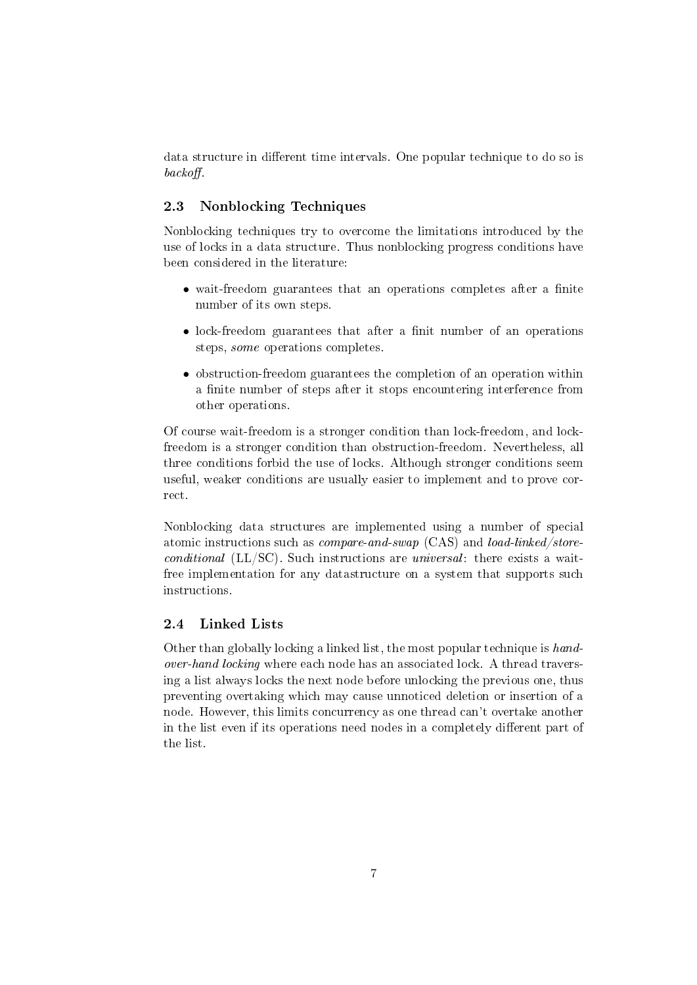data structure in different time intervals. One popular technique to do so is  $backoff.$ 

#### 2.3 Nonblocking Techniques

Nonblocking techniques try to overcome the limitations introduced by the use of locks in a data structure. Thus nonblocking progress conditions have been considered in the literature:

- $\bullet$  wait-freedom guarantees that an operations completes after a finite number of its own steps.
- lock-freedom guarantees that after a finit number of an operations steps, some operations completes.
- obstruction-freedom guarantees the completion of an operation within a finite number of steps after it stops encountering interference from other operations.

Of course wait-freedom is a stronger condition than lock-freedom, and lockfreedom is a stronger condition than obstruction-freedom. Nevertheless, all three conditions forbid the use of locks. Although stronger conditions seem useful, weaker conditions are usually easier to implement and to prove correct.

Nonblocking data structures are implemented using a number of special atomic instructions such as compare-and-swap (CAS) and load-linked/storeconditional (LL/SC). Such instructions are universal: there exists a waitfree implementation for any datastructure on a system that supports such instructions.

#### 2.4 Linked Lists

Other than globally locking a linked list, the most popular technique is handover-hand locking where each node has an associated lock. A thread traversing a list always locks the next node before unlocking the previous one, thus preventing overtaking which may cause unnoticed deletion or insertion of a node. However, this limits concurrency as one thread can't overtake another in the list even if its operations need nodes in a completely different part of the list.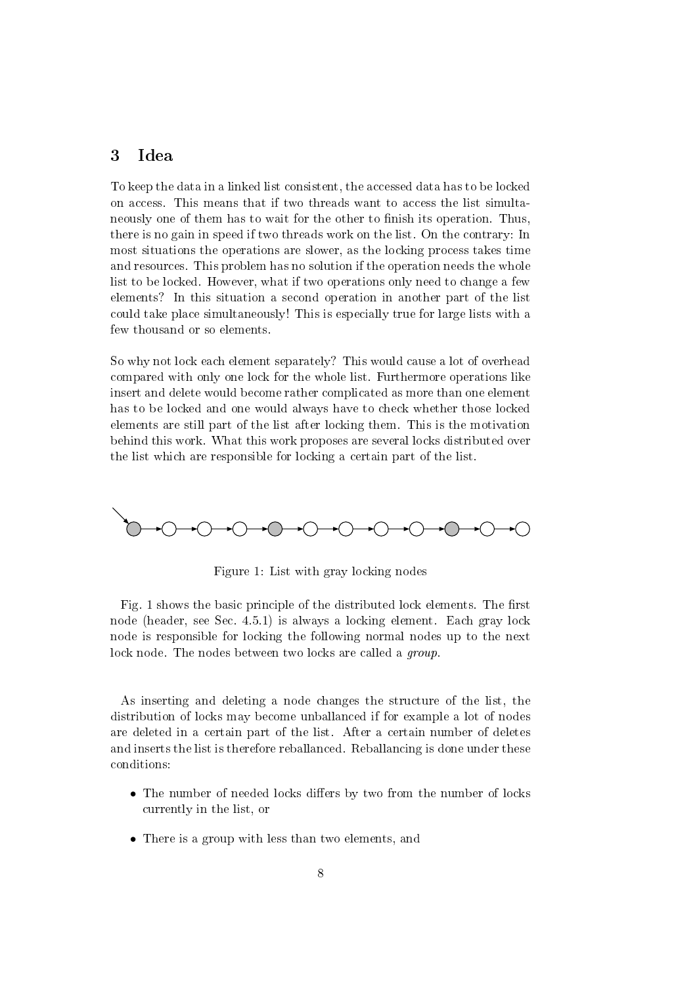### 3 Idea

To keep the data in a linked list consistent, the accessed data has to be locked on access. This means that if two threads want to access the list simultaneously one of them has to wait for the other to finish its operation. Thus, there is no gain in speed if two threads work on the list. On the contrary: In most situations the operations are slower, as the locking process takes time and resources. This problem has no solution if the operation needs the whole list to be locked. However, what if two operations only need to change a few elements? In this situation a second operation in another part of the list could take place simultaneously! This is especially true for large lists with a few thousand or so elements.

So why not lock each element separately? This would cause a lot of overhead compared with only one lock for the whole list. Furthermore operations like insert and delete would become rather complicated as more than one element has to be locked and one would always have to check whether those locked elements are still part of the list after locking them. This is the motivation behind this work. What this work proposes are several locks distributed over the list which are responsible for locking a certain part of the list.



Figure 1: List with gray locking nodes

Fig. 1 shows the basic principle of the distributed lock elements. The first node (header, see Sec. 4.5.1) is always a locking element. Each gray lock node is responsible for locking the following normal nodes up to the next lock node. The nodes between two locks are called a *group* 

As inserting and deleting a node changes the structure of the list, the distribution of locks may become unballanced if for example a lot of nodes are deleted in a certain part of the list. After a certain number of deletes and inserts the list is therefore reballanced. Reballancing is done under these conditions:

- $\bullet$  The number of needed locks differs by two from the number of locks currently in the list, or
- There is a group with less than two elements, and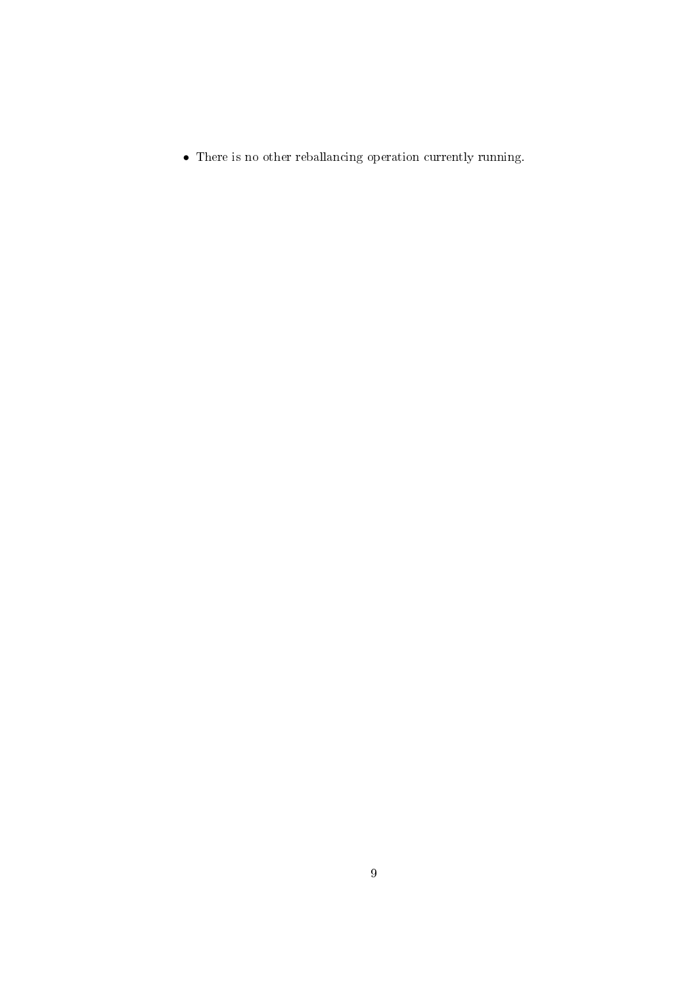$\bullet\,$  There is no other reballancing operation currently running.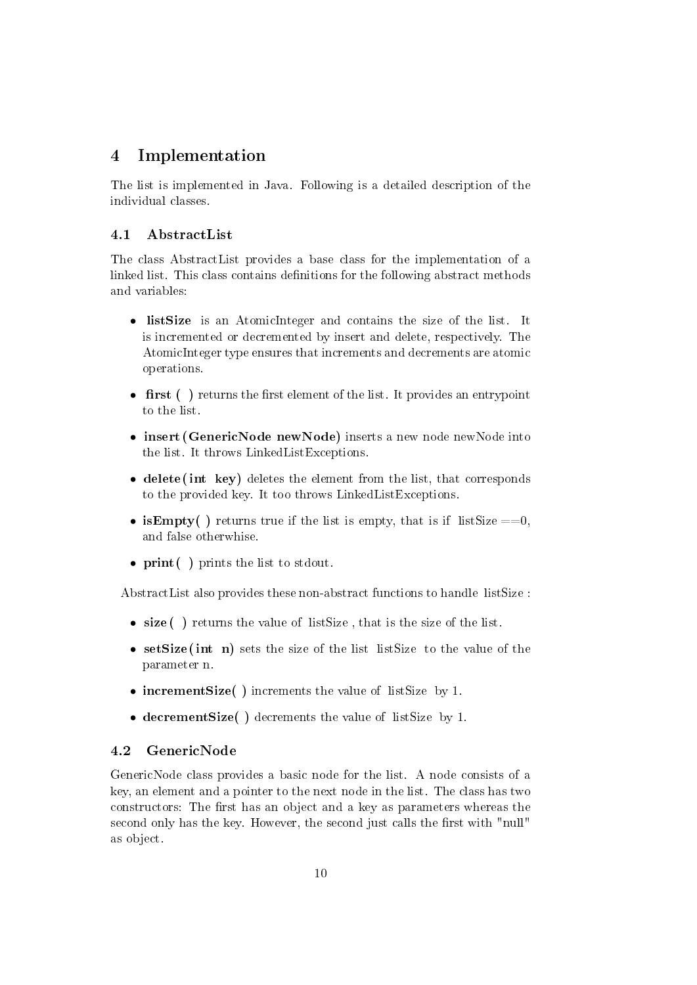### 4 Implementation

The list is implemented in Java. Following is a detailed description of the individual classes.

### 4.1 AbstractList

The class AbstractList provides a base class for the implementation of a linked list. This class contains definitions for the following abstract methods and variables:

- listSize is an AtomicInteger and contains the size of the list. It is incremented or decremented by insert and delete, respectively. The AtomicInteger type ensures that increments and decrements are atomic operations.
- first ( $\cdot$ ) returns the first element of the list. It provides an entrypoint to the list.
- insert (GenericNode newNode) inserts a new node newNode into the list. It throws LinkedListExceptions.
- delete (int key) deletes the element from the list, that corresponds to the provided key. It too throws LinkedListExceptions.
- is **Empty**() returns true if the list is empty, that is if list Size  $==0$ . and false otherwhise.
- print () prints the list to stdout.

AbstractList also provides these non-abstract functions to handle listSize :

- size () returns the value of list Size, that is the size of the list.
- setSize (int n) sets the size of the list listSize to the value of the parameter n.
- incrementSize( ) increments the value of listSize by 1.
- decrementSize( ) decrements the value of listSize by 1.

### 4.2 GenericNode

GenericNode class provides a basic node for the list. A node consists of a key, an element and a pointer to the next node in the list. The class has two constructors: The first has an object and a key as parameters whereas the second only has the key. However, the second just calls the first with "null" as object.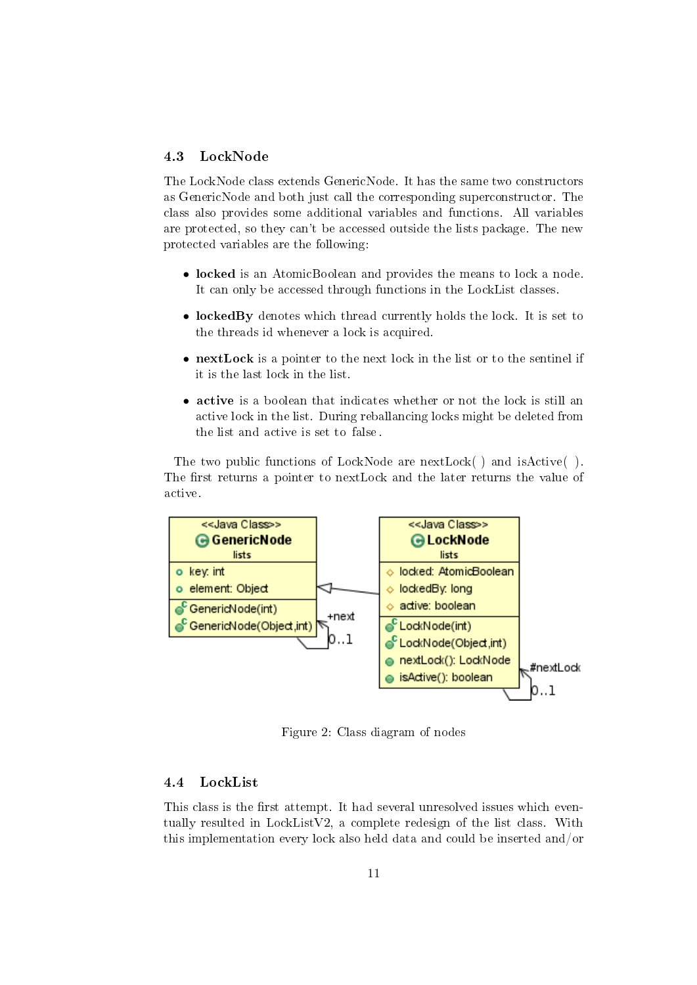#### 4.3 LockNode

The LockNode class extends GenericNode. It has the same two constructors as GenericNode and both just call the corresponding superconstructor. The class also provides some additional variables and functions. All variables are protected, so they can't be accessed outside the lists package. The new protected variables are the following:

- locked is an AtomicBoolean and provides the means to lock a node. It can only be accessed through functions in the LockList classes.
- lockedBy denotes which thread currently holds the lock. It is set to the threads id whenever a lock is acquired.
- nextLock is a pointer to the next lock in the list or to the sentinel if it is the last lock in the list.
- active is a boolean that indicates whether or not the lock is still an active lock in the list. During reballancing locks might be deleted from the list and active is set to false .

The two public functions of LockNode are nextLock() and isActive (). The first returns a pointer to nextLock and the later returns the value of active.



Figure 2: Class diagram of nodes

#### 4.4 LockList

This class is the first attempt. It had several unresolved issues which eventually resulted in LockListV2, a complete redesign of the list class. With this implementation every lock also held data and could be inserted and/or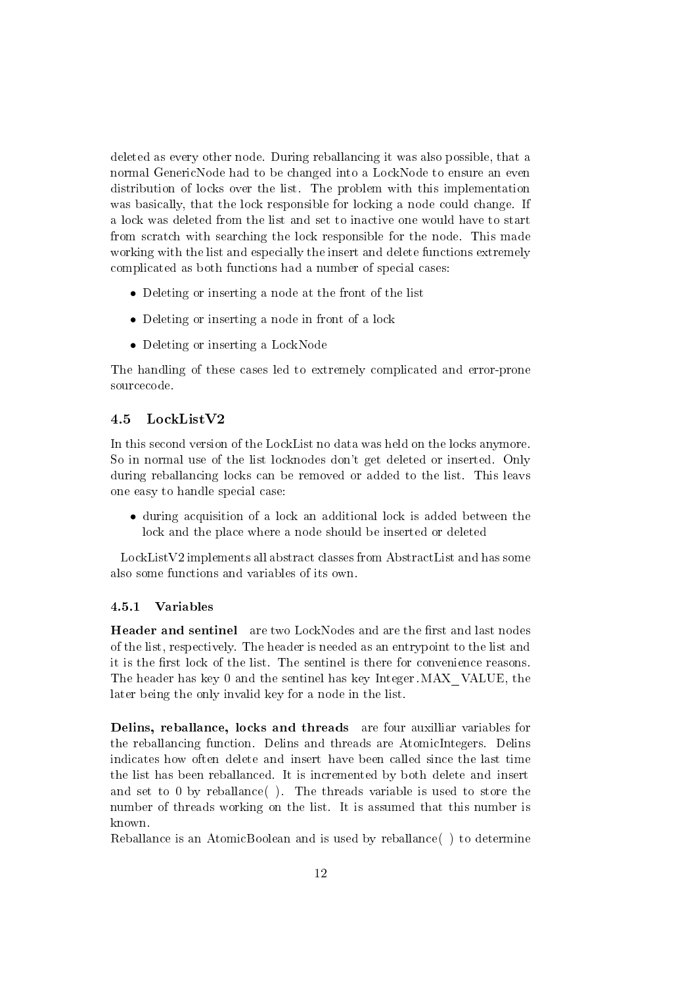deleted as every other node. During reballancing it was also possible, that a normal GenericNode had to be changed into a LockNode to ensure an even distribution of locks over the list. The problem with this implementation was basically, that the lock responsible for locking a node could change. If a lock was deleted from the list and set to inactive one would have to start from scratch with searching the lock responsible for the node. This made working with the list and especially the insert and delete functions extremely complicated as both functions had a number of special cases:

- Deleting or inserting a node at the front of the list
- Deleting or inserting a node in front of a lock
- Deleting or inserting a LockNode

The handling of these cases led to extremely complicated and error-prone sourcecode.

#### 4.5 LockListV2

In this second version of the LockList no data was held on the locks anymore. So in normal use of the list locknodes don't get deleted or inserted. Only during reballancing locks can be removed or added to the list. This leavs one easy to handle special case:

• during acquisition of a lock an additional lock is added between the lock and the place where a node should be inserted or deleted

LockListV2 implements all abstract classes from AbstractList and has some also some functions and variables of its own.

#### 4.5.1 Variables

Header and sentinel are two LockNodes and are the first and last nodes of the list, respectively. The header is needed as an entrypoint to the list and it is the first lock of the list. The sentinel is there for convenience reasons. The header has key 0 and the sentinel has key Integer.MAX\_VALUE, the later being the only invalid key for a node in the list.

Delins, reballance, locks and threads are four auxilliar variables for the reballancing function. Delins and threads are AtomicIntegers. Delins indicates how often delete and insert have been called since the last time the list has been reballanced. It is incremented by both delete and insert and set to 0 by reballance( ). The threads variable is used to store the number of threads working on the list. It is assumed that this number is known.

Reballance is an AtomicBoolean and is used by reballance( ) to determine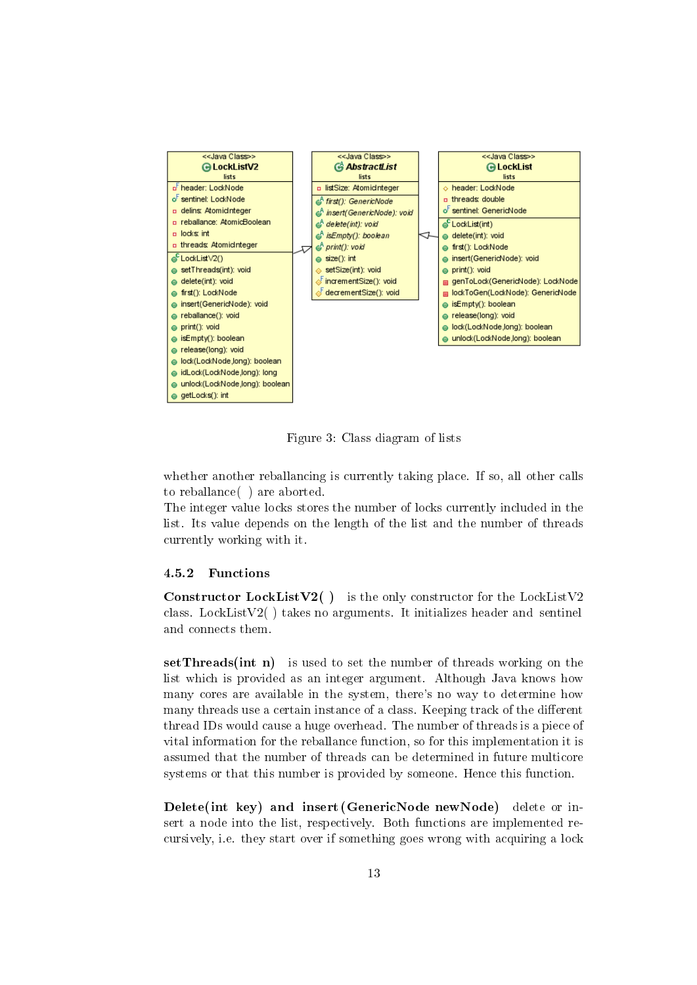

Figure 3: Class diagram of lists

whether another reballancing is currently taking place. If so, all other calls to reballance( ) are aborted.

The integer value locks stores the number of locks currently included in the list. Its value depends on the length of the list and the number of threads currently working with it.

#### 4.5.2 Functions

Constructor LockListV2() is the only constructor for the LockListV2 class. LockListV2( ) takes no arguments. It initializes header and sentinel and connects them.

setThreads(int n) is used to set the number of threads working on the list which is provided as an integer argument. Although Java knows how many cores are available in the system, there's no way to determine how many threads use a certain instance of a class. Keeping track of the different thread IDs would cause a huge overhead. The number of threads is a piece of vital information for the reballance function, so for this implementation it is assumed that the number of threads can be determined in future multicore systems or that this number is provided by someone. Hence this function.

Delete(int key) and insert (GenericNode newNode) delete or insert a node into the list, respectively. Both functions are implemented recursively, i.e. they start over if something goes wrong with acquiring a lock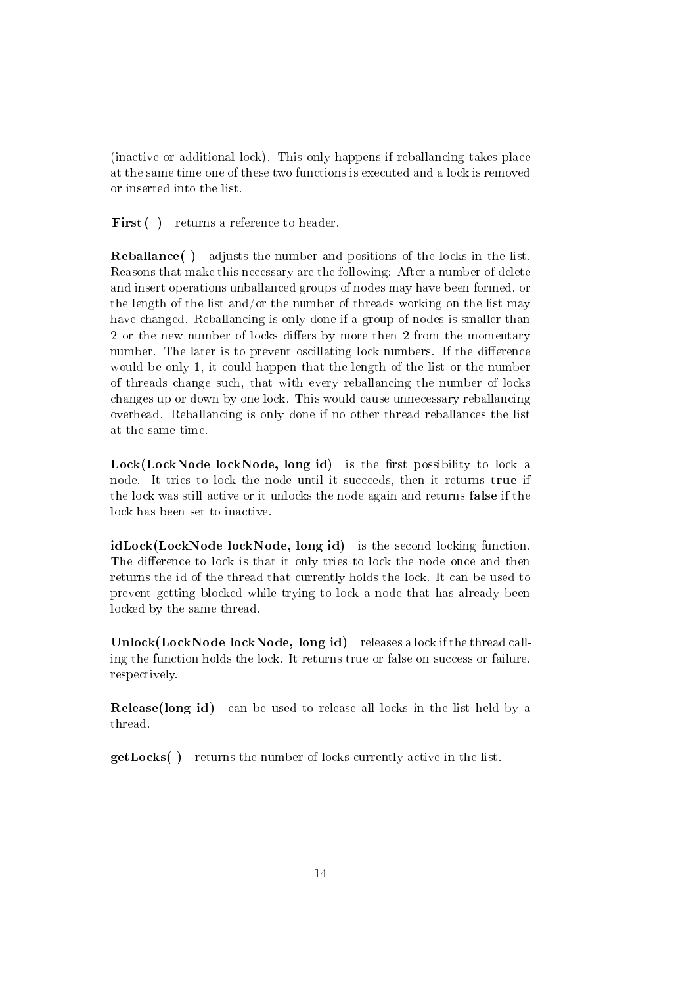(inactive or additional lock). This only happens if reballancing takes place at the same time one of these two functions is executed and a lock is removed or inserted into the list.

First () returns a reference to header.

Reballance( ) adjusts the number and positions of the locks in the list. Reasons that make this necessary are the following: After a number of delete and insert operations unballanced groups of nodes may have been formed, or the length of the list and/or the number of threads working on the list may have changed. Reballancing is only done if a group of nodes is smaller than 2 or the new number of locks differs by more then 2 from the momentary number. The later is to prevent oscillating lock numbers. If the difference would be only 1, it could happen that the length of the list or the number of threads change such, that with every reballancing the number of locks changes up or down by one lock. This would cause unnecessary reballancing overhead. Reballancing is only done if no other thread reballances the list at the same time.

 $Lock(LockNode lockNode, long id)$  is the first possibility to lock a node. It tries to lock the node until it succeeds, then it returns true if the lock was still active or it unlocks the node again and returns false if the lock has been set to inactive.

idLock(LockNode lockNode, long id) is the second locking function. The difference to lock is that it only tries to lock the node once and then returns the id of the thread that currently holds the lock. It can be used to prevent getting blocked while trying to lock a node that has already been locked by the same thread.

Unlock(LockNode lockNode, long id) releases a lock if the thread calling the function holds the lock. It returns true or false on success or failure, respectively.

Release(long id) can be used to release all locks in the list held by a thread.

getLocks( ) returns the number of locks currently active in the list.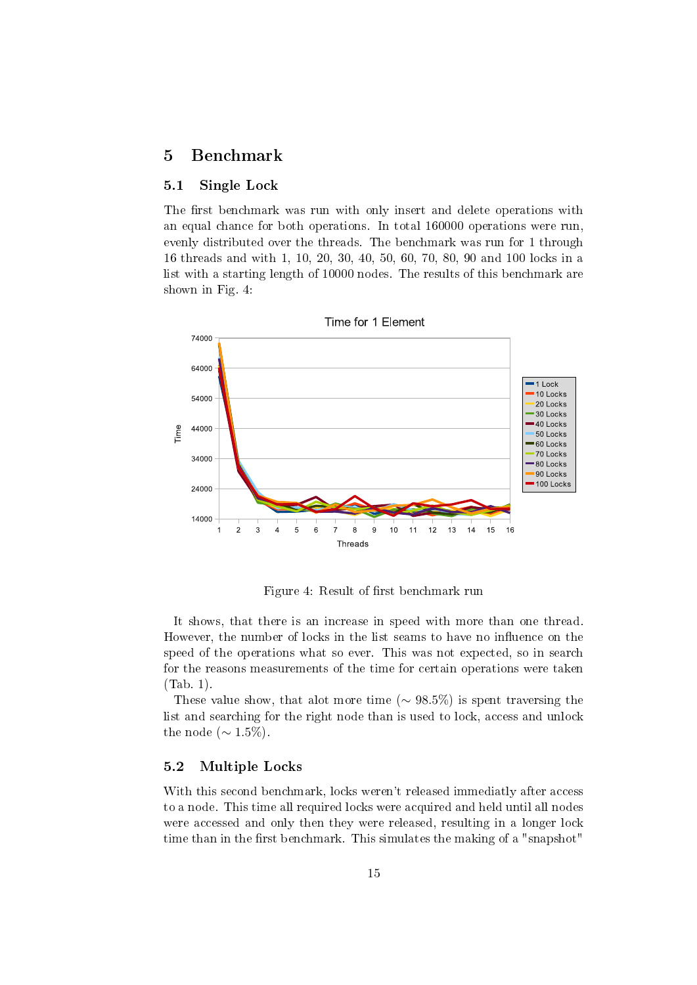### 5 Benchmark

#### 5.1 Single Lock

The first benchmark was run with only insert and delete operations with an equal chance for both operations. In total 160000 operations were run, evenly distributed over the threads. The benchmark was run for 1 through 16 threads and with 1, 10, 20, 30, 40, 50, 60, 70, 80, 90 and 100 locks in a list with a starting length of 10000 nodes. The results of this benchmark are shown in Fig. 4:



Figure 4: Result of first benchmark run

It shows, that there is an increase in speed with more than one thread. However, the number of locks in the list seams to have no influence on the speed of the operations what so ever. This was not expected, so in search for the reasons measurements of the time for certain operations were taken (Tab. 1).

These value show, that alot more time ( $\sim 98.5\%$ ) is spent traversing the list and searching for the right node than is used to lock, access and unlock the node ( $\sim 1.5\%$ ).

#### 5.2 Multiple Locks

With this second benchmark, locks weren't released immediatly after access to a node. This time all required locks were acquired and held until all nodes were accessed and only then they were released, resulting in a longer lock time than in the first benchmark. This simulates the making of a "snapshot"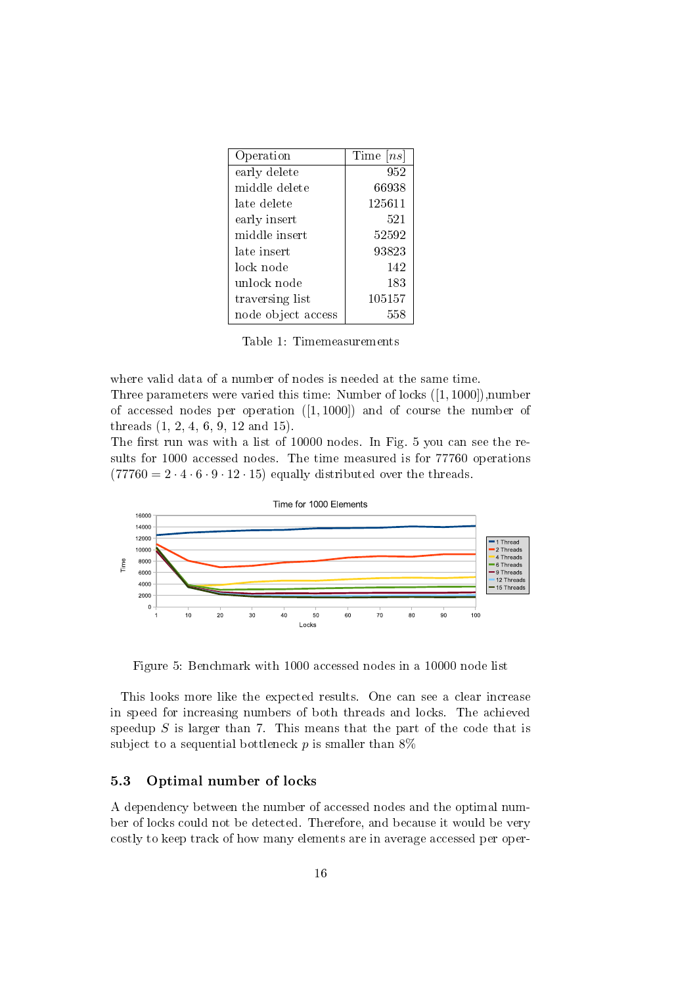| Operation          | Time $[ns]$ |
|--------------------|-------------|
| early delete       | 952         |
| middle delete      | 66938       |
| late delete        | 125611      |
| early insert       | 521         |
| middle insert      | 52592       |
| late insert        | 93823       |
| lock node          | 142         |
| unlock node        | 183         |
| traversing list    | 105157      |
| node object access | 558         |

Table 1: Timemeasurements

where valid data of a number of nodes is needed at the same time.

Three parameters were varied this time: Number of locks ([1, 1000]),number of accessed nodes per operation  $([1, 1000])$  and of course the number of threads (1, 2, 4, 6, 9, 12 and 15).

The first run was with a list of  $10000$  nodes. In Fig. 5 you can see the results for 1000 accessed nodes. The time measured is for 77760 operations  $(77760 = 2 \cdot 4 \cdot 6 \cdot 9 \cdot 12 \cdot 15)$  equally distributed over the threads.



Figure 5: Benchmark with 1000 accessed nodes in a 10000 node list

This looks more like the expected results. One can see a clear increase in speed for increasing numbers of both threads and locks. The achieved speedup  $S$  is larger than 7. This means that the part of the code that is subject to a sequential bottleneck  $p$  is smaller than  $8\%$ 

#### 5.3 Optimal number of locks

A dependency between the number of accessed nodes and the optimal number of locks could not be detected. Therefore, and because it would be very costly to keep track of how many elements are in average accessed per oper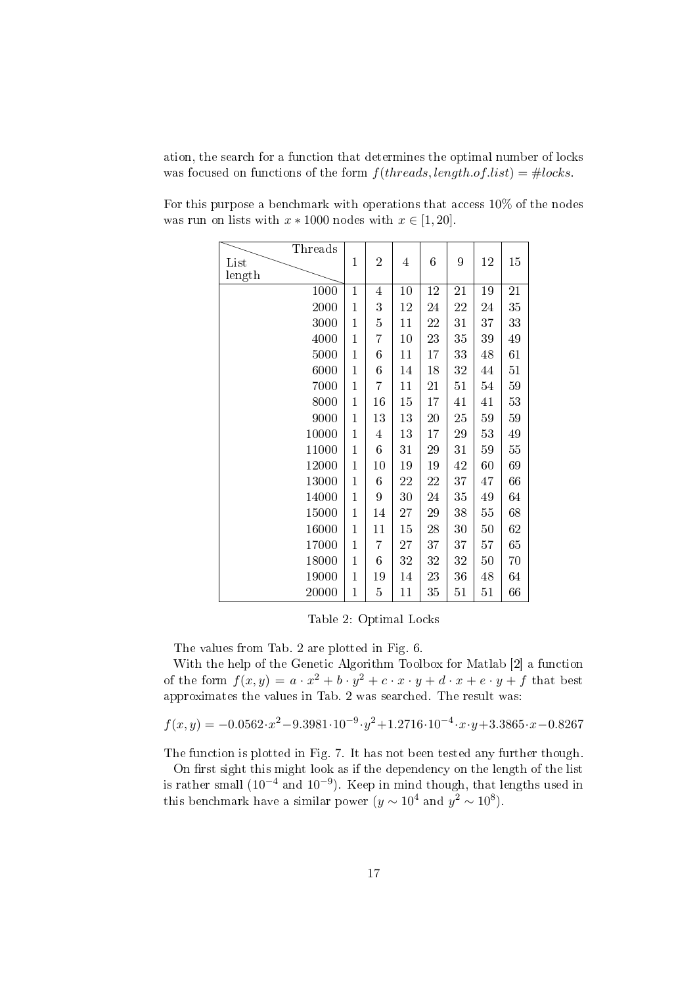ation, the search for a function that determines the optimal number of locks was focused on functions of the form  $f(threads, length.of. list) = #locks$ .

| Threads |                |                  |                |    |    |        |    |
|---------|----------------|------------------|----------------|----|----|--------|----|
| List    | $\mathbf{1}$   | $\overline{2}$   | $\overline{4}$ | 6  | 9  | 12     | 15 |
| length  |                |                  |                |    |    |        |    |
| 1000    | $\overline{1}$ | $\overline{4}$   | 10             | 12 | 21 | $19\,$ | 21 |
| 2000    | 1              | 3                | 12             | 24 | 22 | 24     | 35 |
| 3000    | 1              | 5                | 11             | 22 | 31 | 37     | 33 |
| 4000    | $\mathbf{1}$   | 7                | 10             | 23 | 35 | 39     | 49 |
| 5000    | $\overline{1}$ | 6                | 11             | 17 | 33 | 48     | 61 |
| 6000    | $\mathbf{1}$   | 6                | 14             | 18 | 32 | 44     | 51 |
| 7000    | $\mathbf 1$    | 7                | 11             | 21 | 51 | 54     | 59 |
| 8000    | $\mathbf{1}$   | 16               | 15             | 17 | 41 | 41     | 53 |
| 9000    | $\mathbf{1}$   | 13               | 13             | 20 | 25 | 59     | 59 |
| 10000   | $\overline{1}$ | $\overline{4}$   | 13             | 17 | 29 | 53     | 49 |
| 11000   | $\overline{1}$ | $\boldsymbol{6}$ | 31             | 29 | 31 | 59     | 55 |
| 12000   | 1              | 10               | 19             | 19 | 42 | 60     | 69 |
| 13000   | 1              | 6                | 22             | 22 | 37 | 47     | 66 |
| 14000   | $\overline{1}$ | 9                | 30             | 24 | 35 | 49     | 64 |
| 15000   | 1              | 14               | $27\,$         | 29 | 38 | 55     | 68 |
| 16000   | 1              | 11               | 15             | 28 | 30 | 50     | 62 |
| 17000   | $\mathbf{1}$   | 7                | 27             | 37 | 37 | 57     | 65 |
| 18000   | $\overline{1}$ | 6                | 32             | 32 | 32 | 50     | 70 |
| 19000   | $\mathbf 1$    | 19               | 14             | 23 | 36 | 48     | 64 |
| 20000   | $\overline{1}$ | 5                | 11             | 35 | 51 | 51     | 66 |

For this purpose a benchmark with operations that access 10% of the nodes was run on lists with  $x * 1000$  nodes with  $x \in [1, 20]$ .

Table 2: Optimal Locks

The values from Tab. 2 are plotted in Fig. 6.

With the help of the Genetic Algorithm Toolbox for Matlab [2] a function of the form  $f(x,y) = a \cdot x^2 + b \cdot y^2 + c \cdot x \cdot y + d \cdot x + e \cdot y + f$  that best approximates the values in Tab. 2 was searched. The result was:

$$
f(x,y) = -0.0562 \cdot x^2 - 9.3981 \cdot 10^{-9} \cdot y^2 + 1.2716 \cdot 10^{-4} \cdot x \cdot y + 3.3865 \cdot x - 0.8267
$$

The function is plotted in Fig. 7. It has not been tested any further though.

On first sight this might look as if the dependency on the length of the list is rather small (10<sup>-4</sup> and 10<sup>-9</sup>). Keep in mind though, that lengths used in this benchmark have a similar power  $(y \sim 10^4$  and  $y^2 \sim 10^8$ ).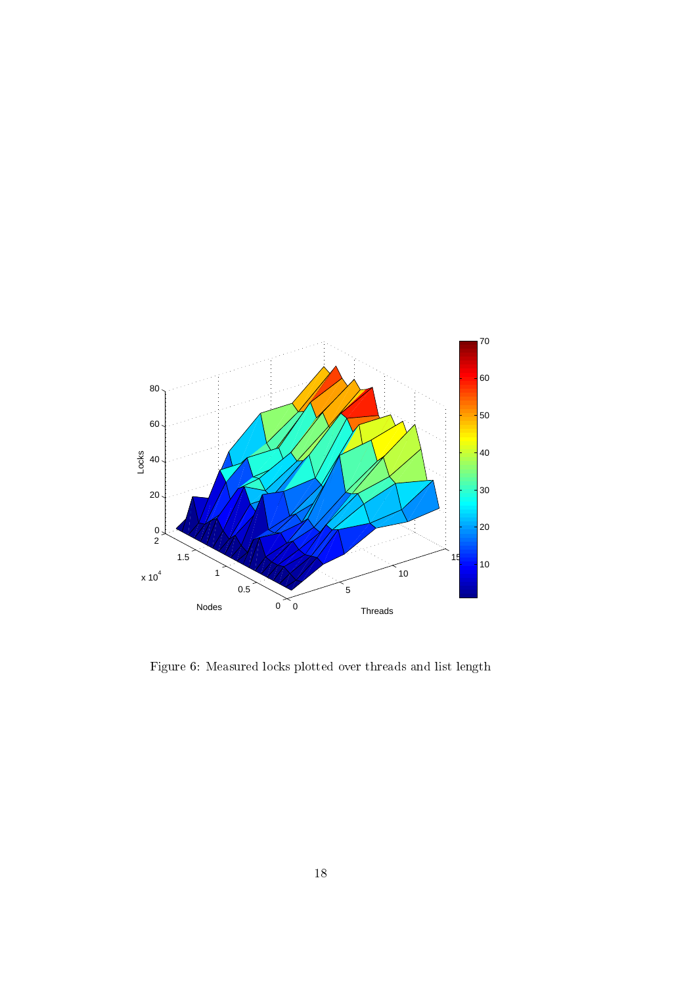

Figure 6: Measured locks plotted over threads and list length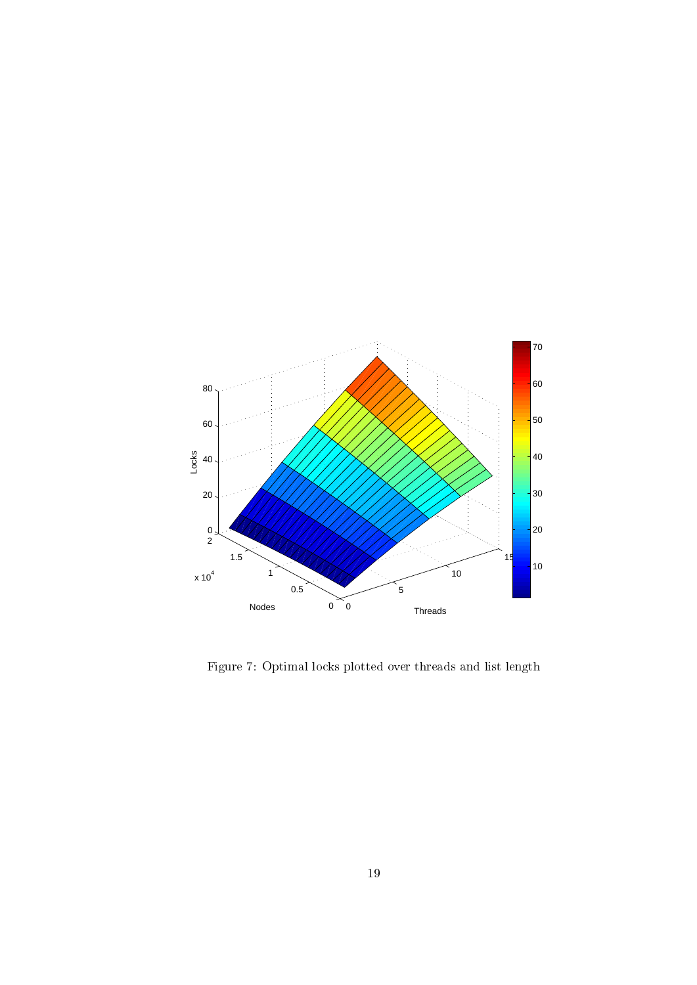

Figure 7: Optimal locks plotted over threads and list length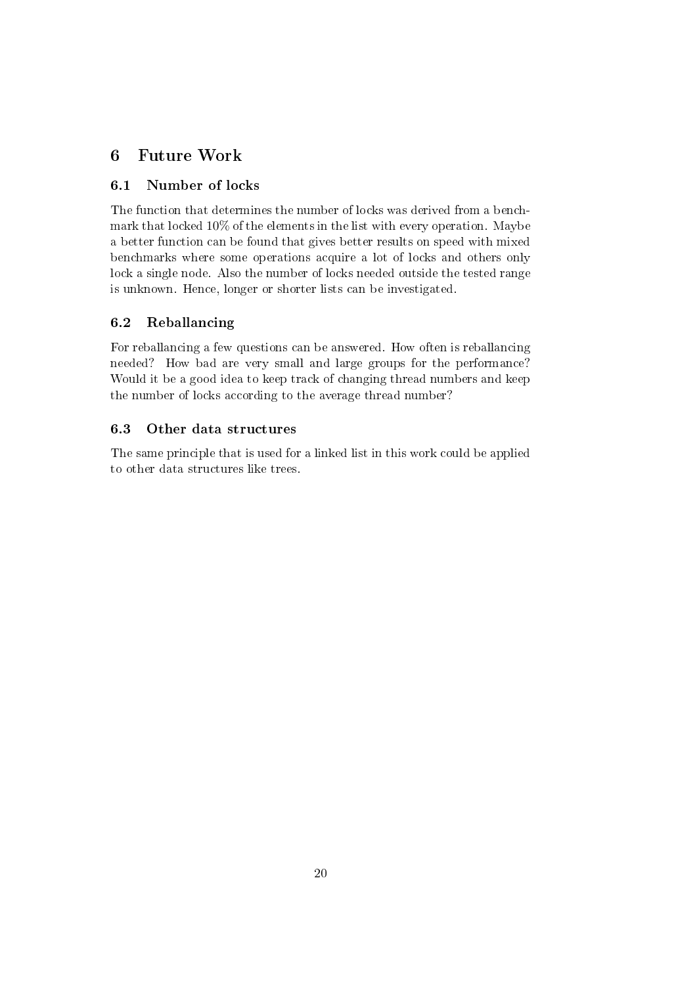### 6 Future Work

### 6.1 Number of locks

The function that determines the number of locks was derived from a benchmark that locked 10% of the elements in the list with every operation. Maybe a better function can be found that gives better results on speed with mixed benchmarks where some operations acquire a lot of locks and others only lock a single node. Also the number of locks needed outside the tested range is unknown. Hence, longer or shorter lists can be investigated.

### 6.2 Reballancing

For reballancing a few questions can be answered. How often is reballancing needed? How bad are very small and large groups for the performance? Would it be a good idea to keep track of changing thread numbers and keep the number of locks according to the average thread number?

### 6.3 Other data structures

The same principle that is used for a linked list in this work could be applied to other data structures like trees.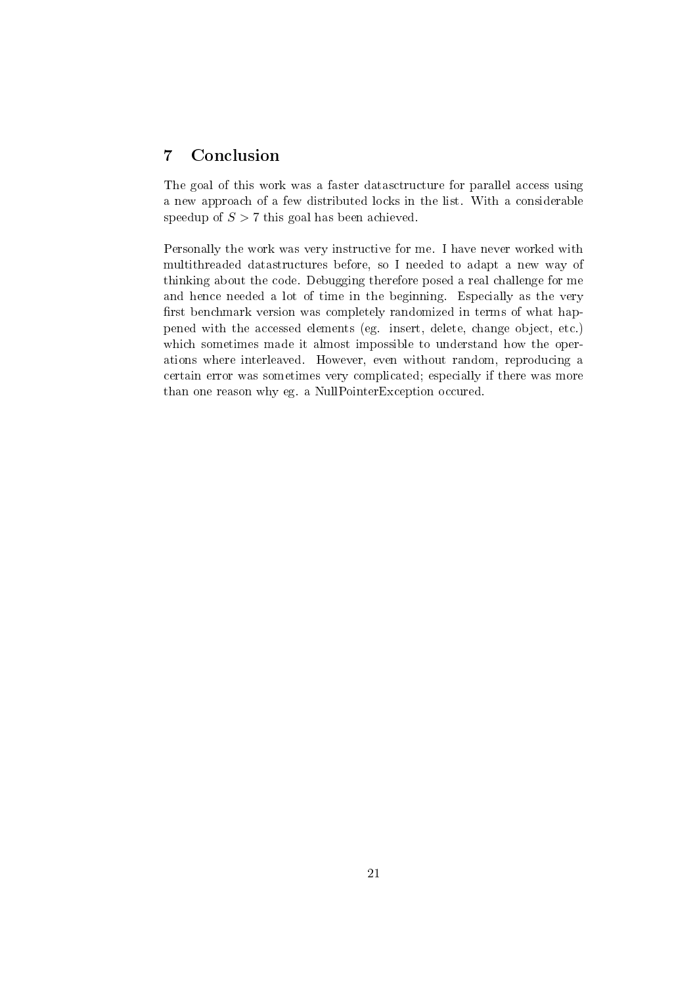### 7 Conclusion

The goal of this work was a faster datasctructure for parallel access using a new approach of a few distributed locks in the list. With a considerable speedup of  $S > 7$  this goal has been achieved.

Personally the work was very instructive for me. I have never worked with multithreaded datastructures before, so I needed to adapt a new way of thinking about the code. Debugging therefore posed a real challenge for me and hence needed a lot of time in the beginning. Especially as the very first benchmark version was completely randomized in terms of what happened with the accessed elements (eg. insert, delete, change object, etc.) which sometimes made it almost impossible to understand how the operations where interleaved. However, even without random, reproducing a certain error was sometimes very complicated; especially if there was more than one reason why eg. a NullPointerException occured.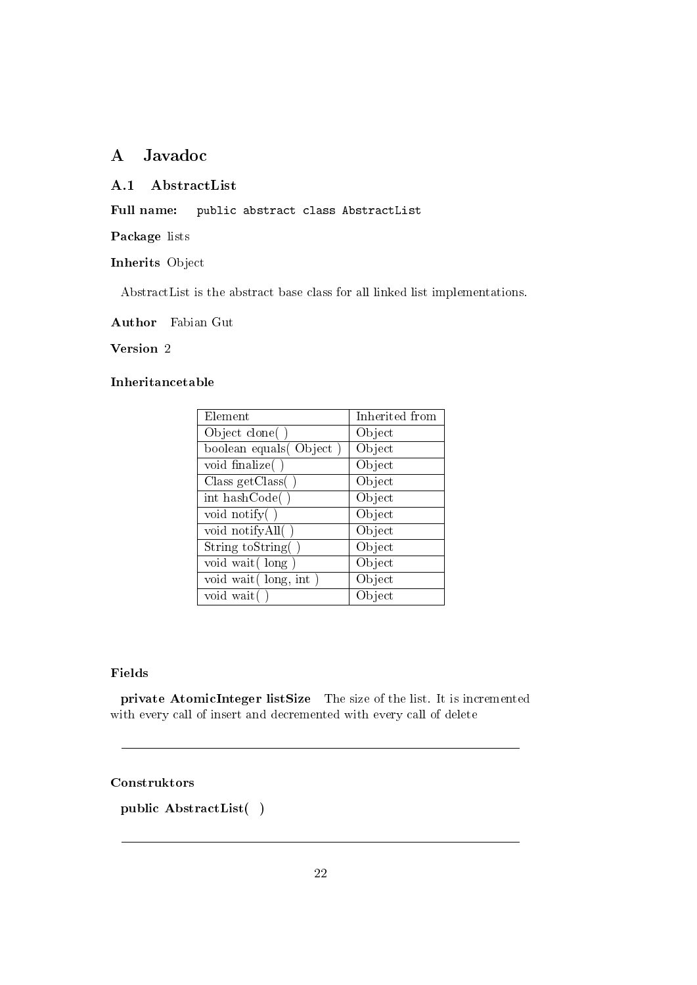### A Javadoc

#### A.1 AbstractList

Full name: public abstract class AbstractList

Package lists

#### Inherits Object

AbstractList is the abstract base class for all linked list implementations.

Author Fabian Gut

#### Version 2

#### Inheritancetable

| Element                 | Inherited from |
|-------------------------|----------------|
| Object clone()          | Object         |
| boolean equals (Object) | Object         |
| void finalize()         | Object         |
| Class getClass()        | Object         |
| int hashCode()          | Object         |
| void notify $( )$       | Object         |
| void notify All()       | Object         |
| String to String ()     | Object         |
| void wait (long)        | Object         |
| void wait (long, int)   | Object         |
| void wait               | Object         |

#### Fields

private AtomicInteger listSize The size of the list. It is incremented with every call of insert and decremented with every call of delete

#### Construktors

public AbstractList( )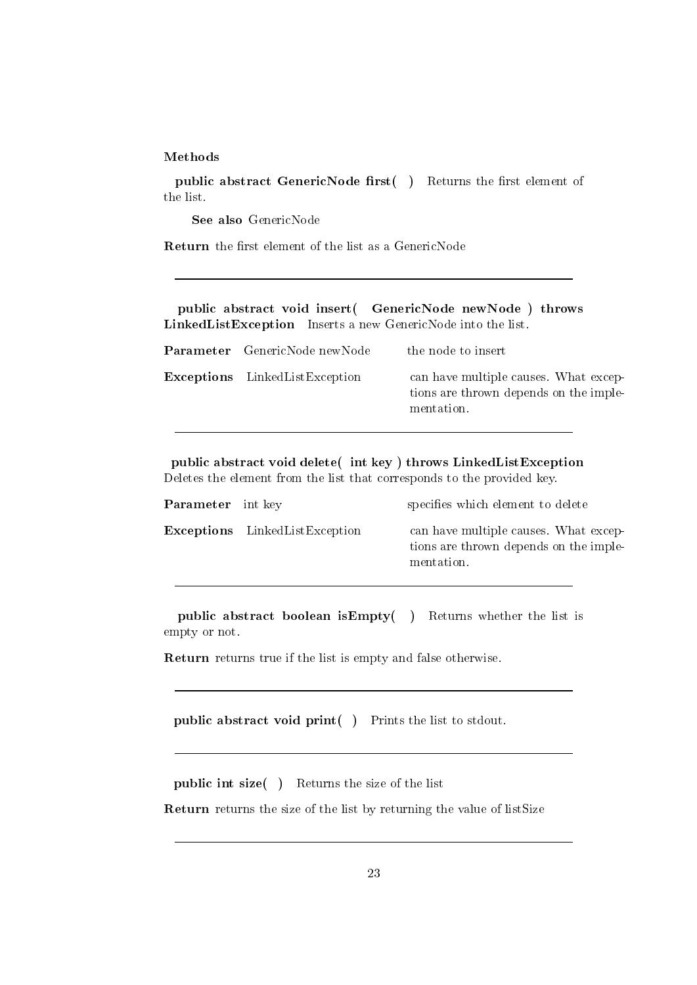#### Methods

public abstract GenericNode first $( )$  Returns the first element of the list.

See also GenericNode

Return the first element of the list as a GenericNode

public abstract void insert( GenericNode newNode ) throws LinkedListException Inserts a new GenericNode into the list.

| <b>Parameter</b> GenericNode newNode  | the node to insert                                                                            |
|---------------------------------------|-----------------------------------------------------------------------------------------------|
| <b>Exceptions</b> LinkedListException | can have multiple causes. What excep-<br>tions are thrown depends on the imple-<br>mentation. |

public abstract void delete( int key ) throws LinkedListException Deletes the element from the list that corresponds to the provided key.

| <b>Parameter</b> int key |                                       | specifies which element to delete                                                             |
|--------------------------|---------------------------------------|-----------------------------------------------------------------------------------------------|
|                          | <b>Exceptions</b> LinkedListException | can have multiple causes. What excep-<br>tions are thrown depends on the imple-<br>mentation. |

public abstract boolean isEmpty( ) Returns whether the list is empty or not.

Return returns true if the list is empty and false otherwise.

public abstract void print( ) Prints the list to stdout.

public int size( ) Returns the size of the list

Return returns the size of the list by returning the value of listSize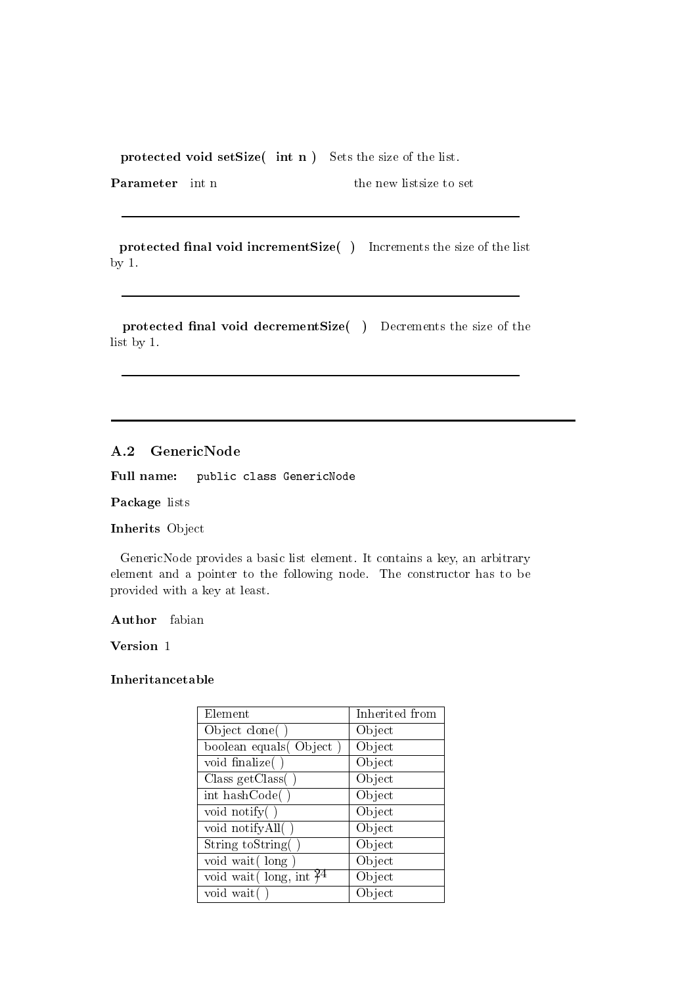protected void setSize( int n ) Sets the size of the list.

**Parameter** int n the new listsize to set

protected final void incrementSize() Increments the size of the list by 1.

protected final void decrementSize() Decrements the size of the list by 1.

#### A.2 GenericNode

Full name: public class GenericNode

Package lists

Inherits Object

GenericNode provides a basic list element. It contains a key, an arbitrary element and a pointer to the following node. The constructor has to be provided with a key at least.

Author fabian

Version 1

| Element                    | Inherited from |
|----------------------------|----------------|
| Object clone()             | Object         |
| boolean equals (Object)    | Object         |
| void finalize()            | Object         |
| Class getClass $( )$       | Object         |
| int hashCode()             | Object         |
| void notify $( )$          | Object         |
| void notify All()          | Object         |
| String toString()          | Object         |
| void wait (long)           | Object         |
| void wait (long, int $3^4$ | Object         |
| void wait                  | Object         |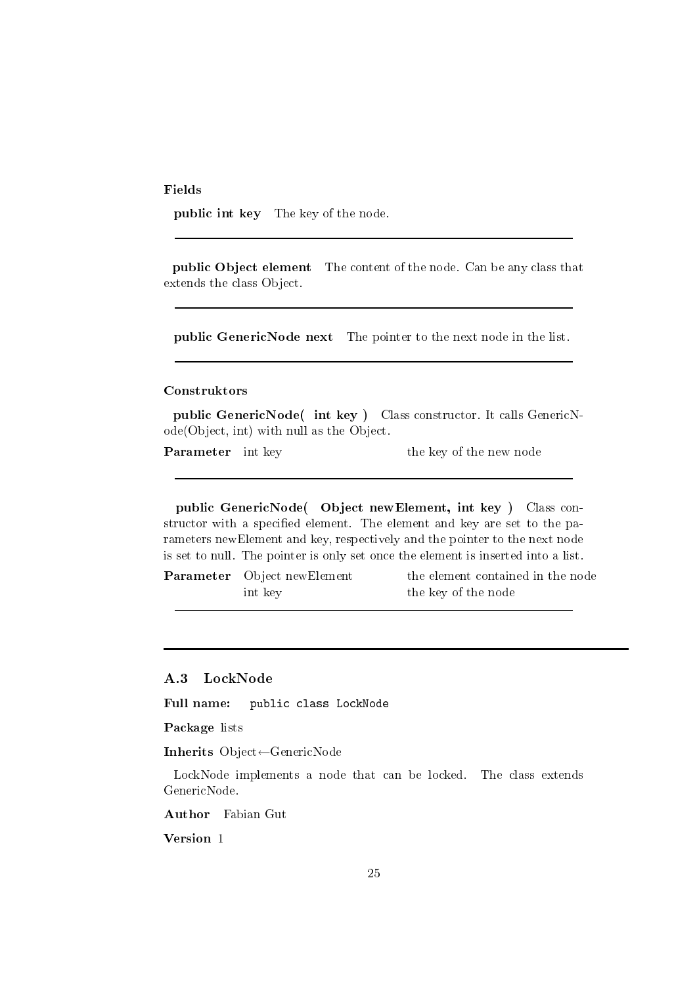Fields

public int key The key of the node.

public Object element The content of the node. Can be any class that extends the class Object.

public GenericNode next The pointer to the next node in the list.

#### Construktors

public GenericNode( int key ) Class constructor. It calls GenericNode(Object, int) with null as the Object.

**Parameter** int key the key of the new node

public GenericNode( Object newElement, int key ) Class constructor with a specified element. The element and key are set to the parameters newElement and key, respectively and the pointer to the next node is set to null. The pointer is only set once the element is inserted into a list.

**Parameter** Object newElement the element contained in the node int key the key of the node

#### A.3 LockNode

Full name: public class LockNode

Package lists

Inherits Object←GenericNode

LockNode implements a node that can be locked. The class extends GenericNode.

Author Fabian Gut

Version 1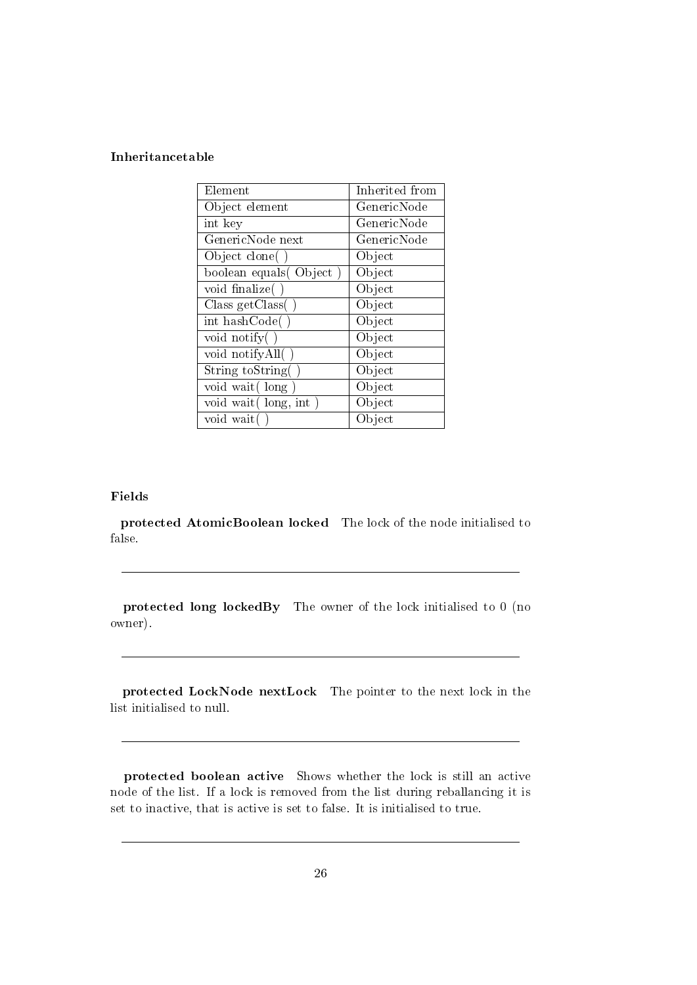#### Inheritancetable

| Element                 | Inherited from |
|-------------------------|----------------|
| Object element          | GenericNode    |
| int key                 | GenericNode    |
| GenericNode next        | GenericNode    |
| Object clone()          | Object         |
| boolean equals (Object) | Object         |
| void finalize()         | Object         |
| Class getClass()        | Object         |
| int hashCode()          | Object         |
| void notify $( )$       | Object         |
| void notifyAll()        | Object         |
| String to String        | Object         |
| void wait (long         | Object         |
| void wait (long, int)   | Object         |
| void wait               | Object         |

#### Fields

protected AtomicBoolean locked The lock of the node initialised to false.

protected long lockedBy The owner of the lock initialised to 0 (no owner).

protected LockNode nextLock The pointer to the next lock in the list initialised to null.

protected boolean active Shows whether the lock is still an active node of the list. If a lock is removed from the list during reballancing it is set to inactive, that is active is set to false. It is initialised to true.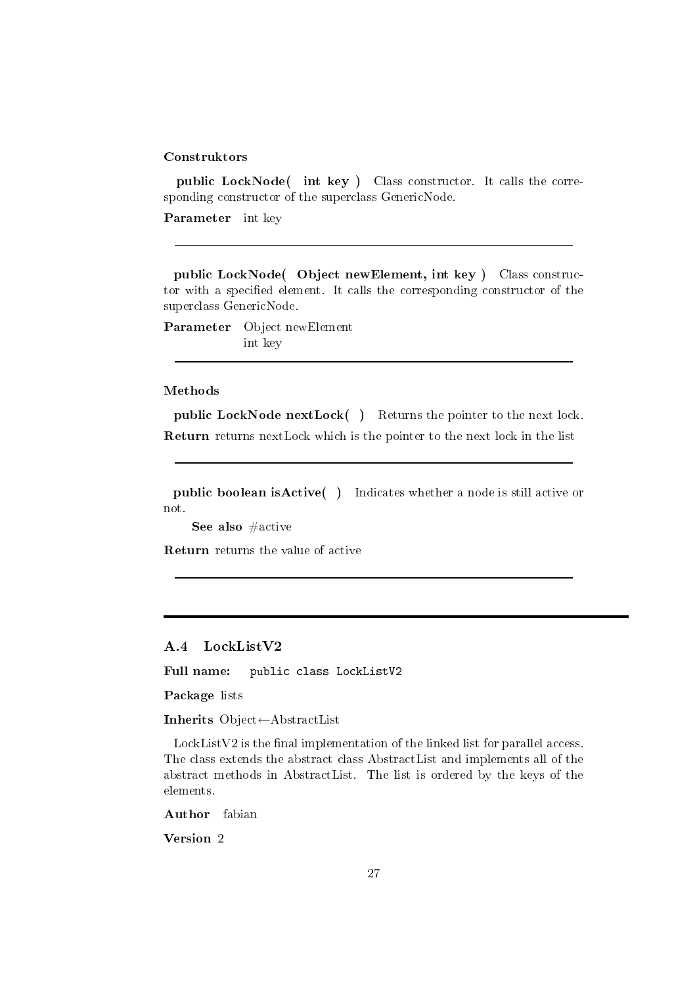public LockNode( int key ) Class constructor. It calls the corresponding constructor of the superclass GenericNode.

Parameter int key

public LockNode( Object newElement, int key ) Class constructor with a specified element. It calls the corresponding constructor of the superclass GenericNode.

Parameter Object newElement int key

#### Methods

public LockNode nextLock() Returns the pointer to the next lock. Return returns nextLock which is the pointer to the next lock in the list

public boolean isActive( ) Indicates whether a node is still active or not.

See also #active

Return returns the value of active

#### A.4 LockListV2

Full name: public class LockListV2

Package lists

Inherits Object←AbstractList

 $LockListV2$  is the final implementation of the linked list for parallel access. The class extends the abstract class AbstractList and implements all of the abstract methods in AbstractList. The list is ordered by the keys of the elements.

Author fabian

Version 2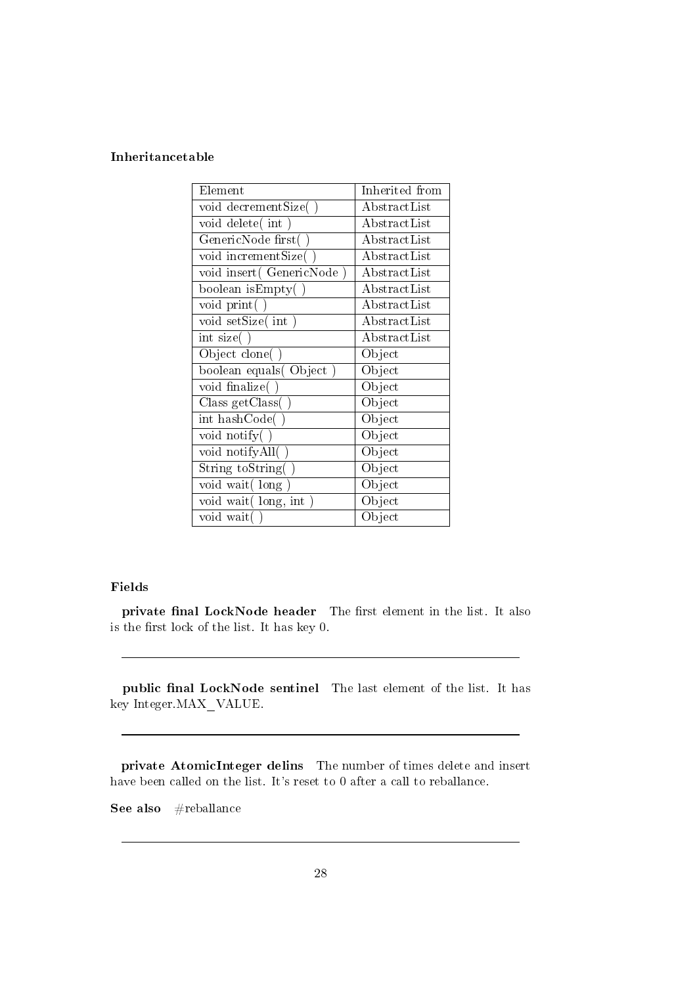#### Inheritancetable

| Element                   | Inherited from       |
|---------------------------|----------------------|
| void decrementSize()      | AbstractList         |
| void delete(int           | AbstractList         |
| GenericNode first(        | AbstractList         |
| void incrementSize(       | AbstractList         |
| void insert (GenericNode) | AbstractList         |
| boolean isEmpty(          | ${\rm AbstractList}$ |
| void print()              | AbstractList         |
| void setSize(int)         | AbstractList         |
| $\text{int size}(\ )$     | AbstractList         |
| Object clone()            | Object               |
| boolean equals(Object)    | Object               |
| void finalize()           | Object               |
| Class getClass()          | Object               |
| int hashCode()            | Object               |
| void notify()             | Object               |
| void notifyAll()          | Object               |
| String toString(          | Object               |
| void wait (long           | Object               |
| void wait (long, int      | Object               |
| void wait()               | Object               |

#### Fields

private final LockNode header The first element in the list. It also is the first lock of the list. It has key  $0$ .

public final LockNode sentinel The last element of the list. It has key $\mathrm{Integer}.\mathrm{MAX\_VALUE}.$ 

private AtomicInteger delins The number of times delete and insert have been called on the list. It's reset to 0 after a call to reballance.

See also #reballance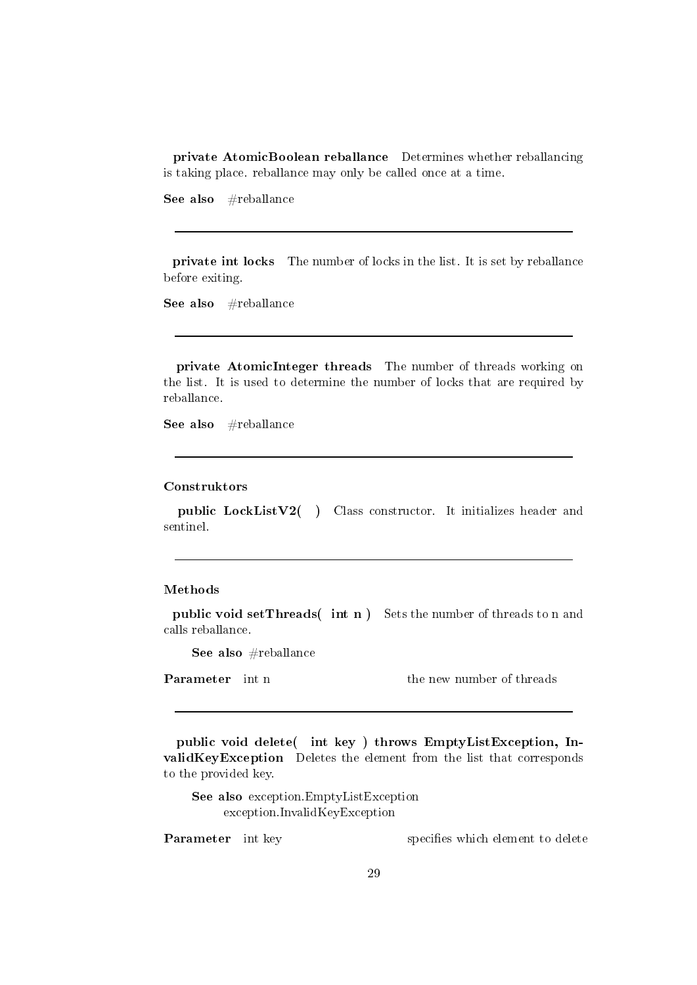private AtomicBoolean reballance Determines whether reballancing is taking place. reballance may only be called once at a time.

See also #reballance

private int locks The number of locks in the list. It is set by reballance before exiting.

See also #reballance

private AtomicInteger threads The number of threads working on the list. It is used to determine the number of locks that are required by reballance.

See also #reballance

#### Construktors

public LockListV2( ) Class constructor. It initializes header and sentinel.

#### Methods

public void setThreads( int n ) Sets the number of threads to n and calls reballance.

See also #reballance

**Parameter** int n the new number of threads

public void delete( int key ) throws EmptyListException, InvalidKeyException Deletes the element from the list that corresponds to the provided key.

See also exception.EmptyListException exception.InvalidKeyException

**Parameter** int key specifies which element to delete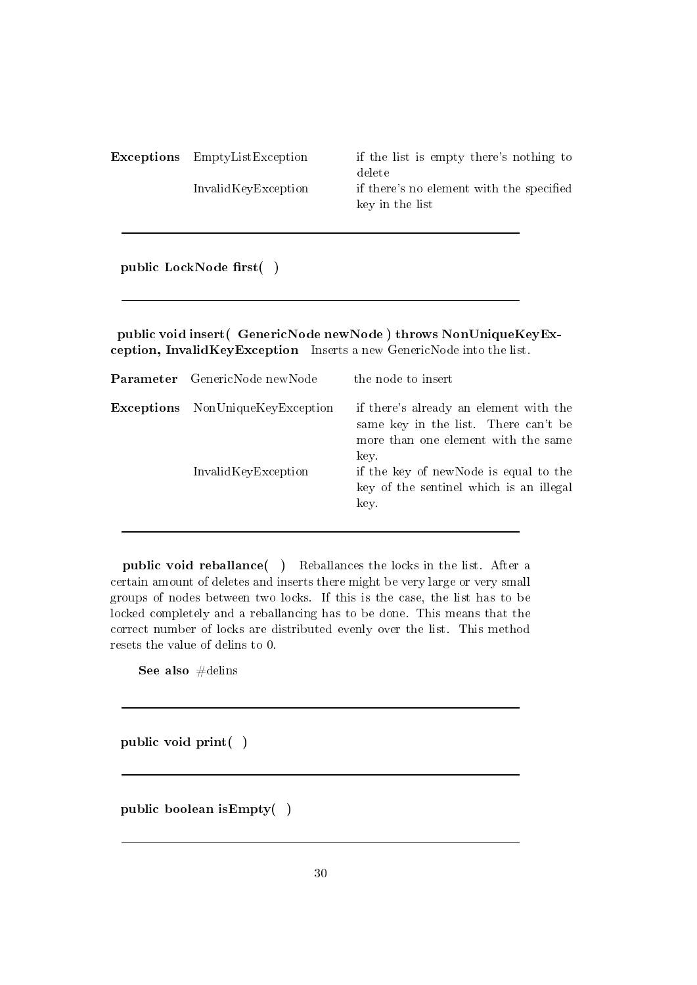Exceptions EmptyListException if the list is empty there's nothing to delete InvalidKeyException if there's no element with the specified key in the list

public LockNode first()

public void insert( GenericNode newNode ) throws NonUniqueKeyException, InvalidKeyException Inserts a new GenericNode into the list.

| <b>Parameter</b> GenericNode newNode    | the node to insert                                                                                                            |
|-----------------------------------------|-------------------------------------------------------------------------------------------------------------------------------|
| <b>Exceptions</b> NonUniqueKeyException | if there's already an element with the<br>same key in the list. There can't be<br>more than one element with the same<br>key. |
| InvalidKeyException                     | if the key of newNode is equal to the<br>key of the sentinel which is an illegal<br>key.                                      |

public void reballance( ) Reballances the locks in the list. After a certain amount of deletes and inserts there might be very large or very small groups of nodes between two locks. If this is the case, the list has to be locked completely and a reballancing has to be done. This means that the correct number of locks are distributed evenly over the list. This method resets the value of delins to 0.

See also #delins

public void print( )

public boolean isEmpty( )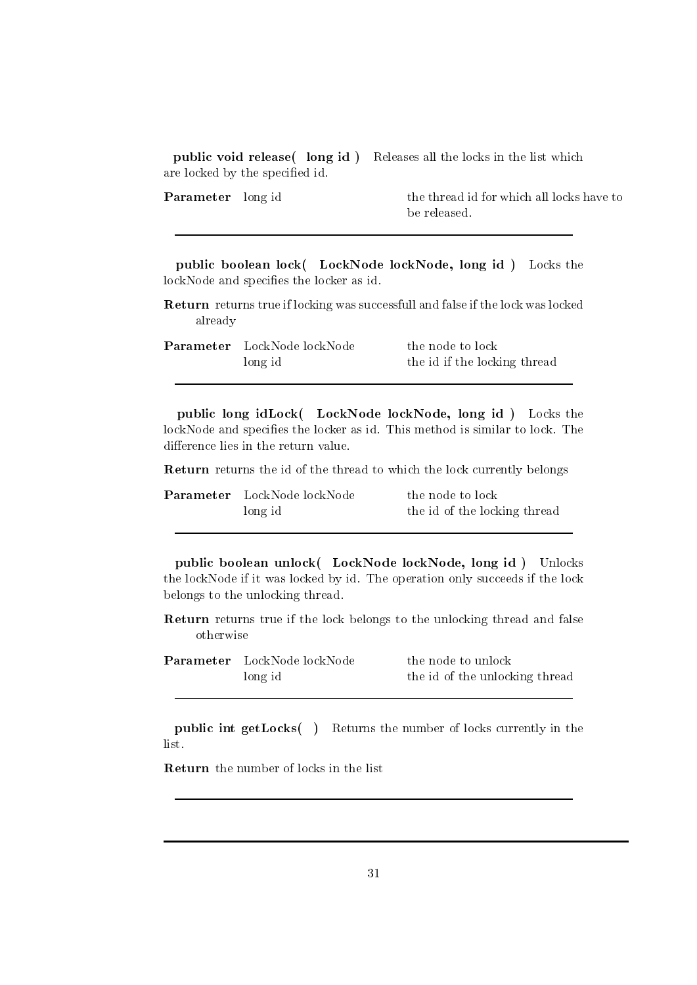public void release( long id ) Releases all the locks in the list which are locked by the specified id.

**Parameter** long id the thread id for which all locks have to be released.

public boolean lock( LockNode lockNode, long id ) Locks the lockNode and specifies the locker as id.

Return returns true if locking was successfull and false if the lock was locked already

| <b>Parameter</b> LockNode lockNode | the node to lock             |
|------------------------------------|------------------------------|
| long id                            | the id if the locking thread |

public long idLock( LockNode lockNode, long id ) Locks the lockNode and specifies the locker as id. This method is similar to lock. The difference lies in the return value.

Return returns the id of the thread to which the lock currently belongs

| <b>Parameter</b> LockNode lockNode | the node to lock             |
|------------------------------------|------------------------------|
| long id                            | the id of the locking thread |

public boolean unlock( LockNode lockNode, long id ) Unlocks the lockNode if it was locked by id. The operation only succeeds if the lock belongs to the unlocking thread.

Return returns true if the lock belongs to the unlocking thread and false otherwise

| Parameter LockNode lockNode | the node to unlock             |
|-----------------------------|--------------------------------|
| long id                     | the id of the unlocking thread |

public int getLocks( ) Returns the number of locks currently in the list.

Return the number of locks in the list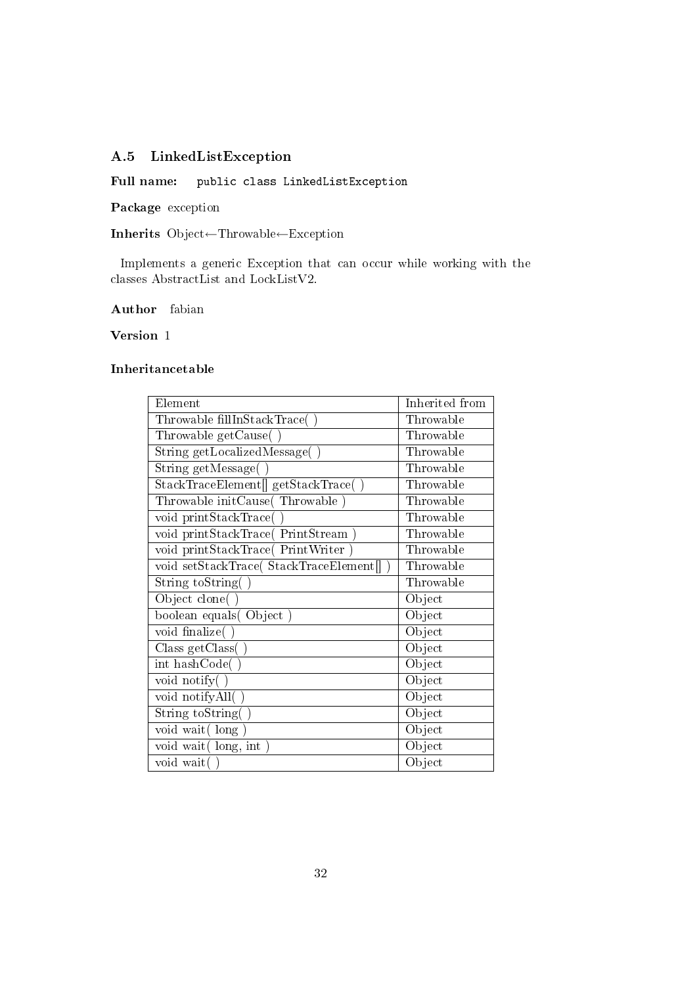### A.5 LinkedListException

Full name: public class LinkedListException

Package exception

Inherits Object←Throwable←Exception

Implements a generic Exception that can occur while working with the classes AbstractList and LockListV2.

Author fabian

Version 1

| Element                                 | Inherited from |
|-----------------------------------------|----------------|
| Throwable fillInStackTrace(             | Throwable      |
| Throwable getCause(                     | Throwable      |
| String getLocalizedMessage(             | Throwable      |
| String $getMessage( )$                  | Throwable      |
| StackTraceElement[] getStackTrace(      | Throwable      |
| Throwable initCause(Throwable           | Throwable      |
| void printStackTrace(                   | Throwable      |
| void printStackTrace(PrintStream        | Throwable      |
| void printStackTrace(PrintWriter        | Throwable      |
| void setStackTrace( StackTraceElement[] | Throwable      |
| String toString()                       | Throwable      |
| Object clone(                           | Object         |
| boolean equals (Object                  | Object         |
| void finalize(                          | Object         |
| Class getClass(                         | Object         |
| int hashCode(                           | Object         |
| void notify(                            | Object         |
| void notifyAll(                         | Object         |
| String toString(                        | Object         |
| void wait (long                         | Object         |
| void wait (long, int)                   | Object         |
| void wait(                              | Object         |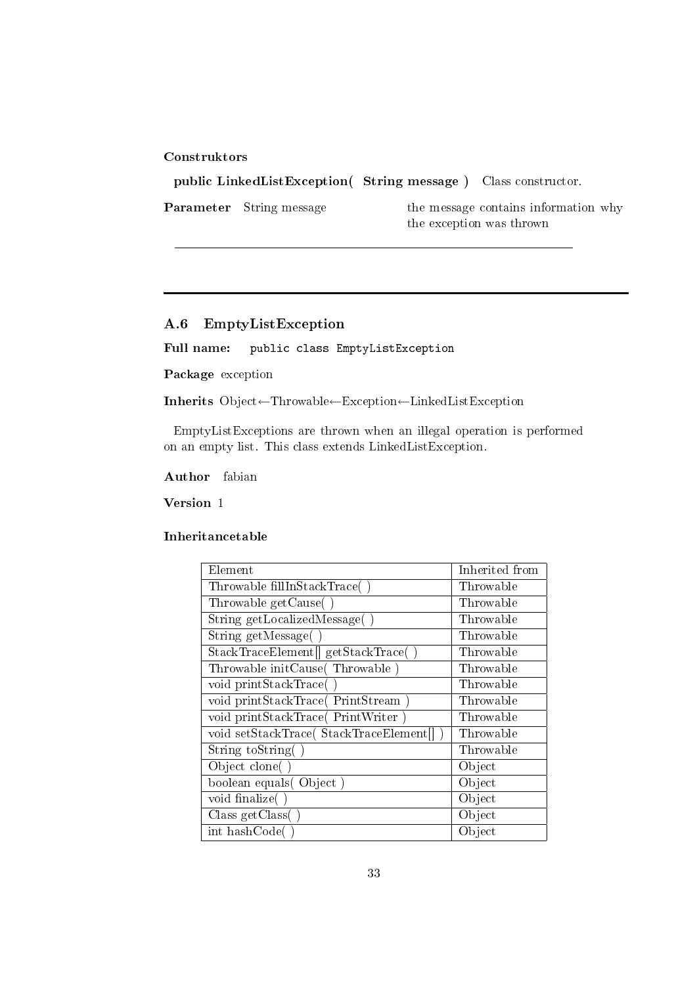public LinkedListException( String message ) Class constructor. Parameter String message the message contains information why the exception was thrown

#### A.6 EmptyListException

Full name: public class EmptyListException

Package exception

Inherits Object←Throwable←Exception←LinkedListException

EmptyListExceptions are thrown when an illegal operation is performed on an empty list. This class extends LinkedListException.

Author fabian

Version 1

| Element                                 | Inherited from |
|-----------------------------------------|----------------|
| Throwable fillInStackTrace(             | Throwable      |
| Throwable getCause()                    | Throwable      |
| String getLocalizedMessage(             | Throwable      |
| String getMessage(                      | Throwable      |
| StackTraceElement  getStackTrace(       | Throwable      |
| Throwable initCause(Throwable)          | Throwable      |
| void printStackTrace(                   | Throwable      |
| void printStackTrace(PrintStream)       | Throwable      |
| void printStackTrace(PrintWriter        | Throwable      |
| void setStackTrace( StackTraceElement[] | Throwable      |
| String toString                         | Throwable      |
| Object clone(                           | Object         |
| boolean equals (Object)                 | Object         |
| void finalize(                          | Object         |
| Class getClass(                         | Object         |
| int hashCode(                           | Object         |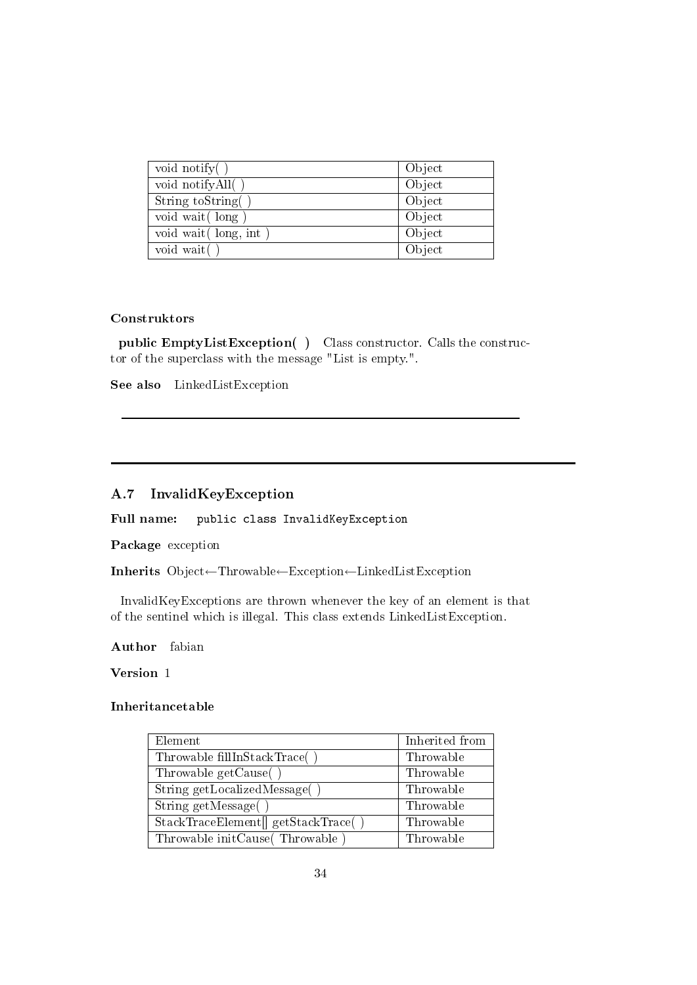| void notify $()$      | Object |
|-----------------------|--------|
| void notifyAll()      | Object |
| String toString(      | Object |
| void wait (long)      | Object |
| void wait (long, int) | Object |
| void wait()           | Object |

public EmptyListException( ) Class constructor. Calls the constructor of the superclass with the message "List is empty.".

See also LinkedListException

#### A.7 InvalidKeyException

Full name: public class InvalidKeyException

Package exception

Inherits Object←Throwable←Exception←LinkedListException

InvalidKeyExceptions are thrown whenever the key of an element is that of the sentinel which is illegal. This class extends LinkedListException.

Author fabian

### Version 1

| Element                             | Inherited from |
|-------------------------------------|----------------|
| Throwable fillInStackTrace()        | Throwable      |
| Throwable getCause()                | Throwable      |
| String getLocalizedMessage()        | Throwable      |
| String $getMessage( )$              | Throwable      |
| StackTraceElement[] getStackTrace() | Throwable      |
| Throwable initCause (Throwable)     | Throwable      |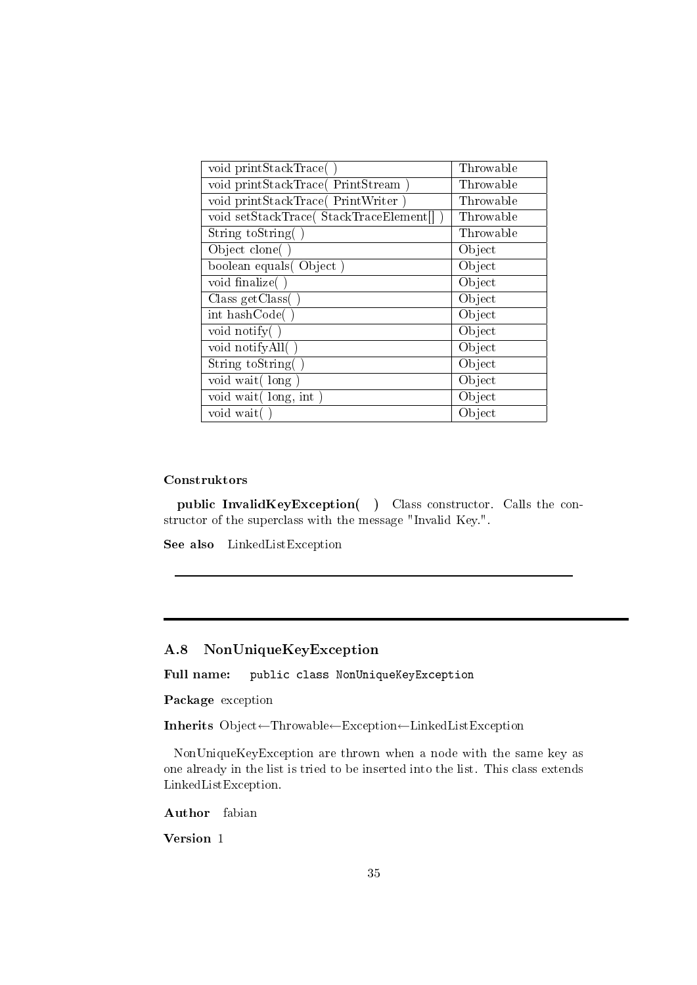| void printStackTrace()                  | Throwable |
|-----------------------------------------|-----------|
| void printStackTrace(PrintStream)       | Throwable |
| void printStackTrace(PrintWriter        | Throwable |
| void setStackTrace( StackTraceElement[] | Throwable |
| String to String                        | Throwable |
| Object clone(                           | Object    |
| boolean equals (Object)                 | Object    |
| void finalize()                         | Object    |
| Class getClass(                         | Object    |
| int hashCode(                           | Object    |
| void notify(                            | Object    |
| void notifyAll()                        | Object    |
| String toString(                        | Object    |
| void wait (long                         | Object    |
| void wait (long, int)                   | Object    |
| void wait                               | Object    |

public InvalidKeyException( ) Class constructor. Calls the constructor of the superclass with the message "Invalid Key.".

See also LinkedListException

#### A.8 NonUniqueKeyException

Full name: public class NonUniqueKeyException

Package exception

Inherits Object←Throwable←Exception←LinkedListException

NonUniqueKeyException are thrown when a node with the same key as one already in the list is tried to be inserted into the list. This class extends LinkedListException.

Author fabian

Version 1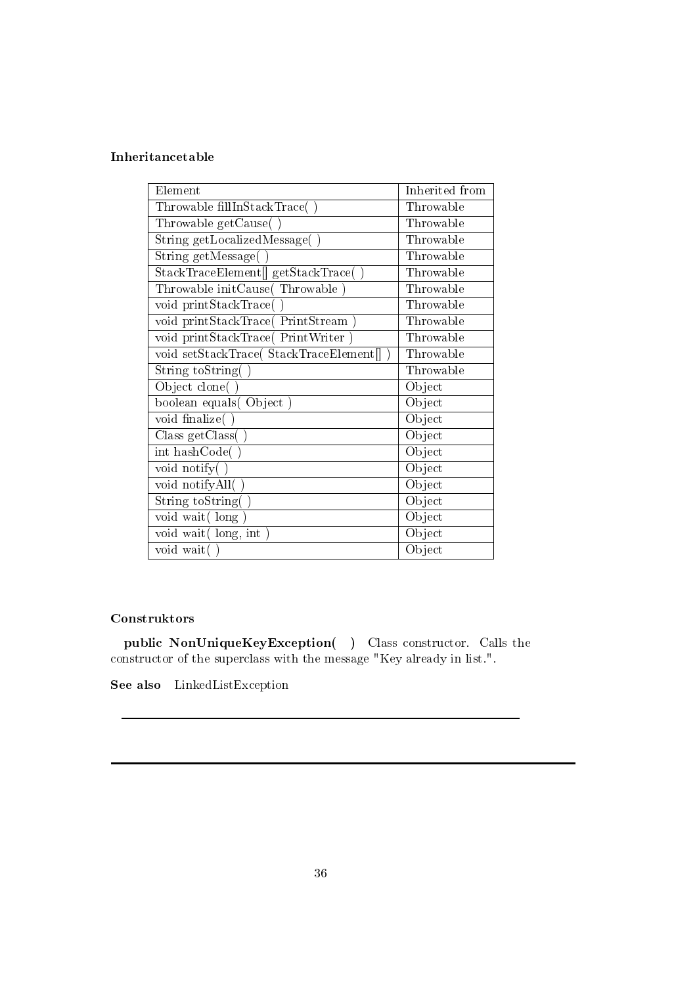### Inheritancetable

| Element                                 | Inherited from |
|-----------------------------------------|----------------|
| Throwable fillInStackTrace(             | Throwable      |
| Throwable getCause(                     | Throwable      |
| String getLocalizedMessage(             | Throwable      |
| String getMessage(                      | Throwable      |
| StackTraceElement[] getStackTrace()     | Throwable      |
| Throwable initCause(Throwable)          | Throwable      |
| void printStackTrace(                   | Throwable      |
| void printStackTrace(PrintStream)       | Throwable      |
| void printStackTrace(PrintWriter)       | Throwable      |
| void setStackTrace( StackTraceElement[] | Throwable      |
| String toString(                        | Throwable      |
| Object clone(                           | Object         |
| boolean equals(Object)                  | Object         |
| void finalize(                          | Object         |
| Class getClass(                         | Object         |
| int hashCode(                           | Object         |
| void notify()                           | Object         |
| void notifyAll()                        | Object         |
| String toString(                        | Object         |
| void wait (long                         | Object         |
| void wait(long, int)                    | Object         |
| void wait()                             | Object         |

#### Construktors

public NonUniqueKeyException( ) Class constructor. Calls the constructor of the superclass with the message "Key already in list.".

See also LinkedListException